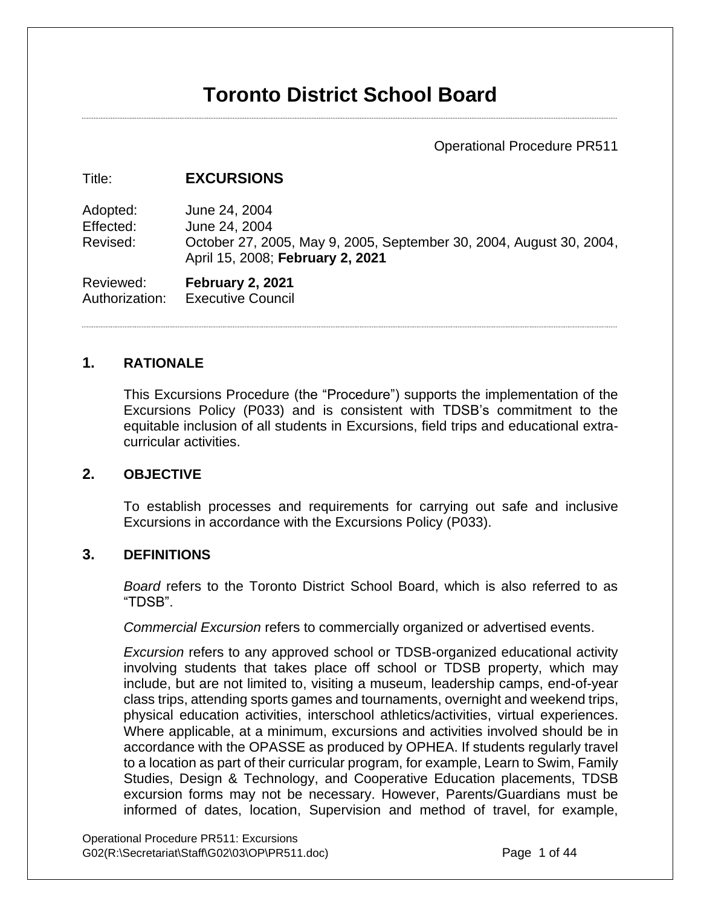# **Toronto District School Board**

## Operational Procedure PR511

#### Title: **EXCURSIONS**

Adopted: June 24, 2004 Effected: June 24, 2004 Revised: October 27, 2005, May 9, 2005, September 30, 2004, August 30, 2004, April 15, 2008; **February 2, 2021**

Reviewed: **February 2, 2021** Authorization: Executive Council

#### **1. RATIONALE**

This Excursions Procedure (the "Procedure") supports the implementation of the Excursions Policy (P033) and is consistent with TDSB's commitment to the equitable inclusion of all students in Excursions, field trips and educational extracurricular activities.

#### **2. OBJECTIVE**

To establish processes and requirements for carrying out safe and inclusive Excursions in accordance with the Excursions Policy (P033).

## **3. DEFINITIONS**

*Board* refers to the Toronto District School Board, which is also referred to as "TDSB".

*Commercial Excursion* refers to commercially organized or advertised events.

*Excursion* refers to any approved school or TDSB-organized educational activity involving students that takes place off school or TDSB property, which may include, but are not limited to, visiting a museum, leadership camps, end-of-year class trips, attending sports games and tournaments, overnight and weekend trips, physical education activities, interschool athletics/activities, virtual experiences. Where applicable, at a minimum, excursions and activities involved should be in accordance with the OPASSE as produced by OPHEA. If students regularly travel to a location as part of their curricular program, for example, Learn to Swim, Family Studies, Design & Technology, and Cooperative Education placements, TDSB excursion forms may not be necessary. However, Parents/Guardians must be informed of dates, location, Supervision and method of travel, for example,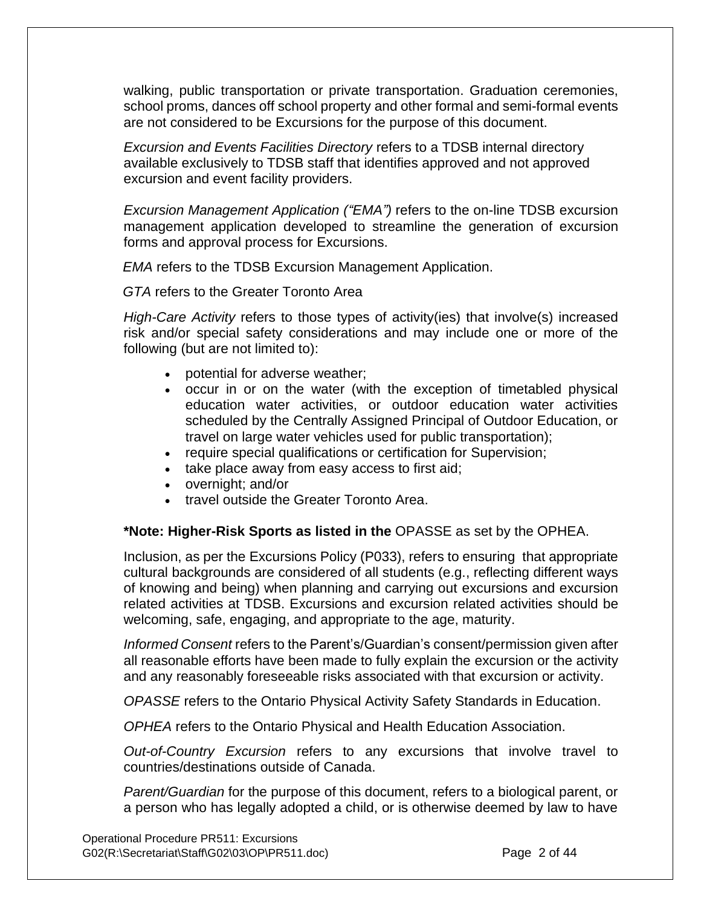walking, public transportation or private transportation. Graduation ceremonies, school proms, dances off school property and other formal and semi-formal events are not considered to be Excursions for the purpose of this document.

*Excursion and Events Facilities Directory* refers to a TDSB internal directory available exclusively to TDSB staff that identifies approved and not approved excursion and event facility providers.

*Excursion Management Application ("EMA")* refers to the on-line TDSB excursion management application developed to streamline the generation of excursion forms and approval process for Excursions.

*EMA* refers to the TDSB Excursion Management Application.

*GTA* refers to the Greater Toronto Area

*High-Care Activity* refers to those types of activity(ies) that involve(s) increased risk and/or special safety considerations and may include one or more of the following (but are not limited to):

- potential for adverse weather;
- occur in or on the water (with the exception of timetabled physical education water activities, or outdoor education water activities scheduled by the Centrally Assigned Principal of Outdoor Education, or travel on large water vehicles used for public transportation);
- require special qualifications or certification for Supervision;
- take place away from easy access to first aid;
- overnight; and/or
- travel outside the Greater Toronto Area.

#### **\*Note: Higher-Risk Sports as listed in the** OPASSE as set by the OPHEA.

Inclusion, as per the Excursions Policy (P033), refers to ensuring that appropriate cultural backgrounds are considered of all students (e.g., reflecting different ways of knowing and being) when planning and carrying out excursions and excursion related activities at TDSB. Excursions and excursion related activities should be welcoming, safe, engaging, and appropriate to the age, maturity.

*Informed Consent* refers to the Parent's/Guardian's consent/permission given after all reasonable efforts have been made to fully explain the excursion or the activity and any reasonably foreseeable risks associated with that excursion or activity.

*OPASSE* refers to the Ontario Physical Activity Safety Standards in Education.

*OPHEA* refers to the Ontario Physical and Health Education Association.

*Out-of-Country Excursion* refers to any excursions that involve travel to countries/destinations outside of Canada.

*Parent/Guardian* for the purpose of this document, refers to a biological parent, or a person who has legally adopted a child, or is otherwise deemed by law to have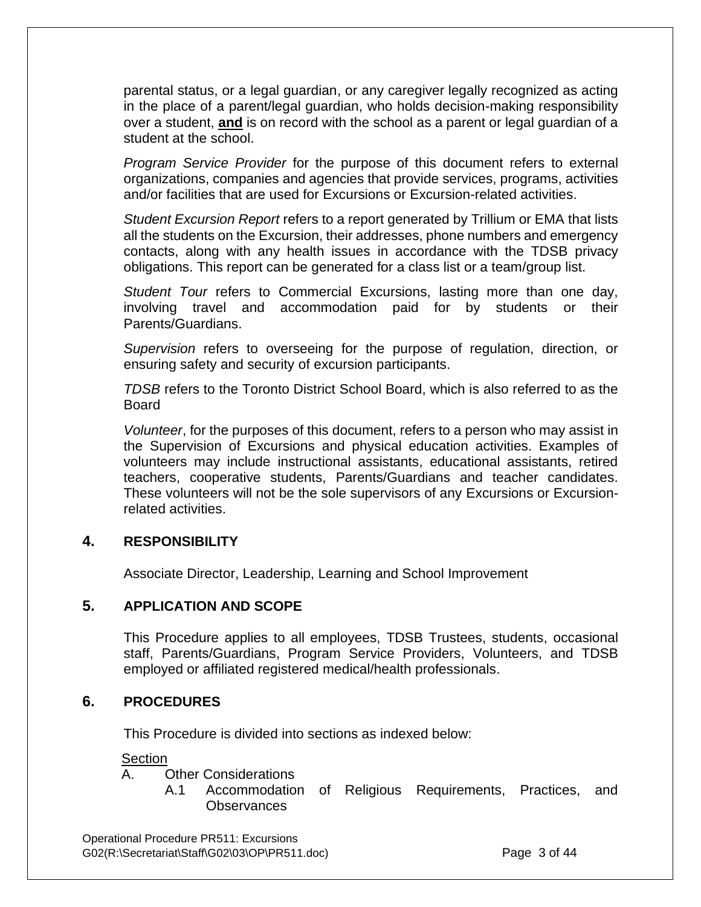parental status, or a legal guardian, or any caregiver legally recognized as acting in the place of a parent/legal guardian, who holds decision-making responsibility over a student, **and** is on record with the school as a parent or legal guardian of a student at the school.

*Program Service Provider* for the purpose of this document refers to external organizations, companies and agencies that provide services, programs, activities and/or facilities that are used for Excursions or Excursion-related activities.

*Student Excursion Report* refers to a report generated by Trillium or EMA that lists all the students on the Excursion, their addresses, phone numbers and emergency contacts, along with any health issues in accordance with the TDSB privacy obligations. This report can be generated for a class list or a team/group list.

*Student Tour* refers to Commercial Excursions, lasting more than one day, involving travel and accommodation paid for by students or their Parents/Guardians.

*Supervision* refers to overseeing for the purpose of regulation, direction, or ensuring safety and security of excursion participants.

*TDSB* refers to the Toronto District School Board, which is also referred to as the Board

*Volunteer*, for the purposes of this document, refers to a person who may assist in the Supervision of Excursions and physical education activities. Examples of volunteers may include instructional assistants, educational assistants, retired teachers, cooperative students, Parents/Guardians and teacher candidates. These volunteers will not be the sole supervisors of any Excursions or Excursionrelated activities.

## **4. RESPONSIBILITY**

Associate Director, Leadership, Learning and School Improvement

## **5. APPLICATION AND SCOPE**

This Procedure applies to all employees, TDSB Trustees, students, occasional staff, Parents/Guardians, Program Service Providers, Volunteers, and TDSB employed or affiliated registered medical/health professionals.

#### **6. PROCEDURES**

This Procedure is divided into sections as indexed below:

#### Section

#### A. Other Considerations

A.1 Accommodation of Religious Requirements, Practices, and **Observances** 

Operational Procedure PR511: Excursions G02(R:\Secretariat\Staff\G02\03\OP\PR511.doc) Page 3 of 44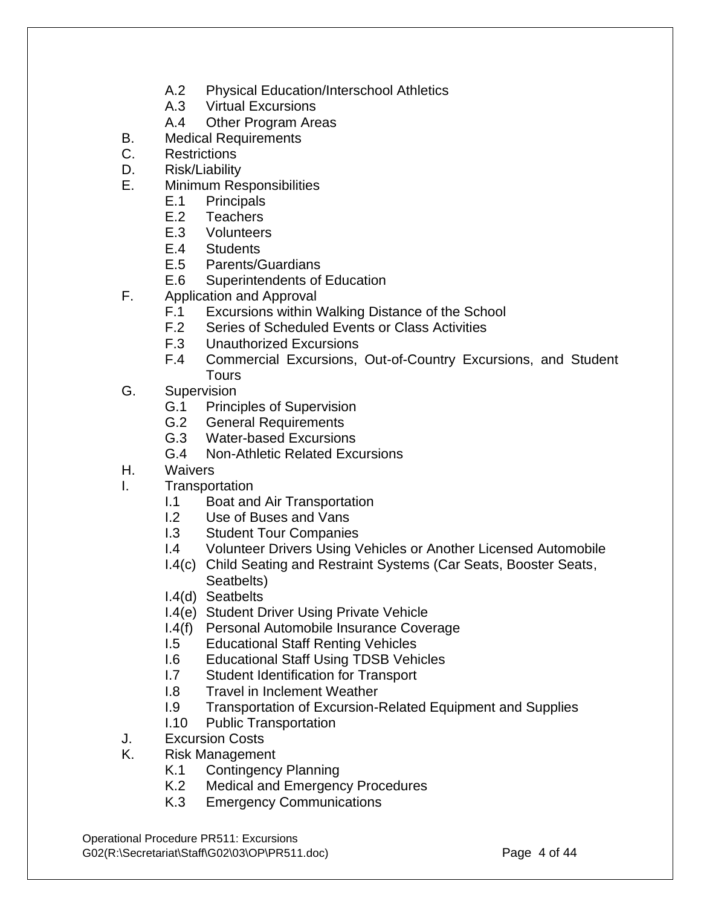- A.2 Physical Education/Interschool Athletics
- A.3 Virtual Excursions
- A.4 Other Program Areas
- B. Medical Requirements
- C. Restrictions
- D. Risk/Liability
- E. Minimum Responsibilities
	- E.1 Principals
	- E.2 Teachers
	- E.3 Volunteers
	- E.4 Students
	- E.5 Parents/Guardians
	- E.6 Superintendents of Education
- F. Application and Approval
	- F.1 Excursions within Walking Distance of the School
	- F.2 Series of Scheduled Events or Class Activities
	- F.3 Unauthorized Excursions
	- F.4 Commercial Excursions, Out-of-Country Excursions, and Student Tours
- G. Supervision
	- G.1 Principles of Supervision
	- G.2 General Requirements
	- G.3 Water-based Excursions
	- G.4 Non-Athletic Related Excursions
- H. Waivers
- I. Transportation
	- I.1 Boat and Air Transportation
	- I.2 Use of Buses and Vans
	- I.3 Student Tour Companies
	- I.4 Volunteer Drivers Using Vehicles or Another Licensed Automobile
	- I.4(c) Child Seating and Restraint Systems (Car Seats, Booster Seats, Seatbelts)
	- I.4(d) Seatbelts
	- I.4(e) Student Driver Using Private Vehicle
	- I.4(f) Personal Automobile Insurance Coverage
	- I.5 Educational Staff Renting Vehicles
	- I.6 Educational Staff Using TDSB Vehicles
	- I.7 Student Identification for Transport
	- I.8 Travel in Inclement Weather
	- I.9 Transportation of Excursion-Related Equipment and Supplies
	- I.10 Public Transportation
- J. Excursion Costs
- K. Risk Management
	- K.1 Contingency Planning
	- K.2 Medical and Emergency Procedures
	- K.3 Emergency Communications

Operational Procedure PR511: Excursions G02(R:\Secretariat\Staff\G02\03\OP\PR511.doc) Page 4 of 44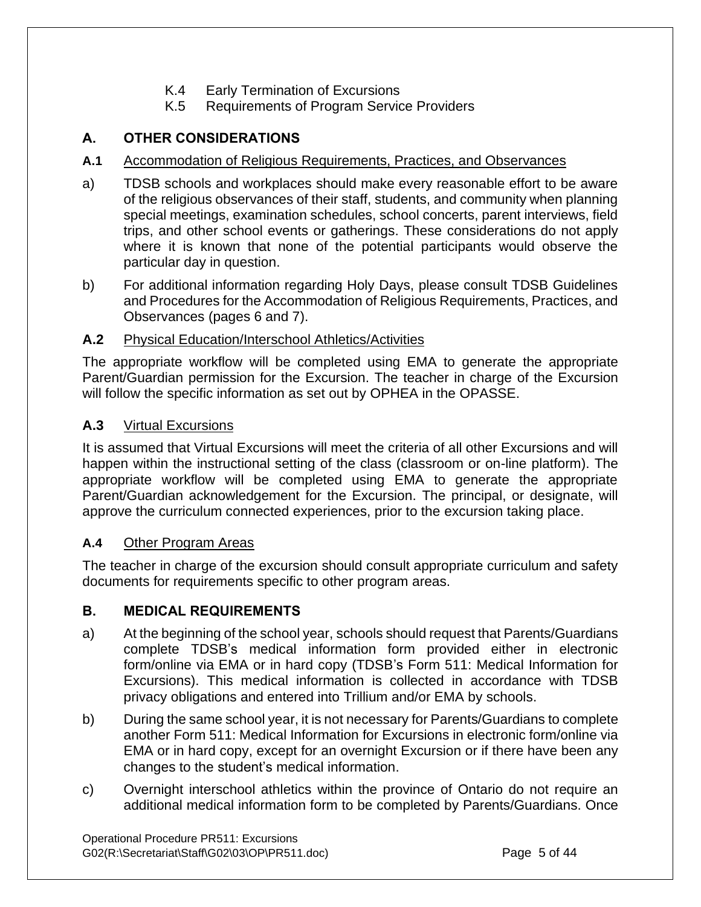- K.4 Early Termination of Excursions
- K.5 Requirements of Program Service Providers

## **A. OTHER CONSIDERATIONS**

#### **A.1** Accommodation of Religious Requirements, Practices, and Observances

- a) TDSB schools and workplaces should make every reasonable effort to be aware of the religious observances of their staff, students, and community when planning special meetings, examination schedules, school concerts, parent interviews, field trips, and other school events or gatherings. These considerations do not apply where it is known that none of the potential participants would observe the particular day in question.
- b) For additional information regarding Holy Days, please consult TDSB Guidelines and Procedures for the Accommodation of Religious Requirements, Practices, and Observances (pages 6 and 7).

## **A.2** Physical Education/Interschool Athletics/Activities

The appropriate workflow will be completed using EMA to generate the appropriate Parent/Guardian permission for the Excursion. The teacher in charge of the Excursion will follow the specific information as set out by OPHEA in the OPASSE.

## **A.3** Virtual Excursions

It is assumed that Virtual Excursions will meet the criteria of all other Excursions and will happen within the instructional setting of the class (classroom or on-line platform). The appropriate workflow will be completed using EMA to generate the appropriate Parent/Guardian acknowledgement for the Excursion. The principal, or designate, will approve the curriculum connected experiences, prior to the excursion taking place.

#### **A.4** Other Program Areas

The teacher in charge of the excursion should consult appropriate curriculum and safety documents for requirements specific to other program areas.

## **B. MEDICAL REQUIREMENTS**

- a) At the beginning of the school year, schools should request that Parents/Guardians complete TDSB's medical information form provided either in electronic form/online via EMA or in hard copy (TDSB's Form 511: Medical Information for Excursions). This medical information is collected in accordance with TDSB privacy obligations and entered into Trillium and/or EMA by schools.
- b) During the same school year, it is not necessary for Parents/Guardians to complete another Form 511: Medical Information for Excursions in electronic form/online via EMA or in hard copy, except for an overnight Excursion or if there have been any changes to the student's medical information.
- c) Overnight interschool athletics within the province of Ontario do not require an additional medical information form to be completed by Parents/Guardians. Once

Operational Procedure PR511: Excursions G02(R:\Secretariat\Staff\G02\03\OP\PR511.doc) Page 5 of 44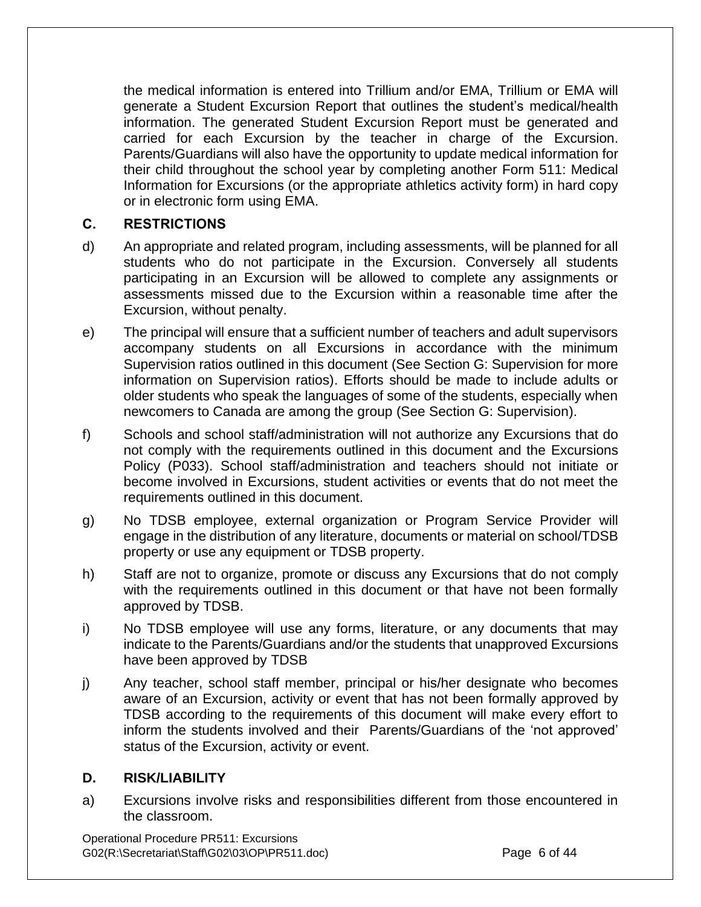the medical information is entered into Trillium and/or EMA, Trillium or EMA will generate a Student Excursion Report that outlines the student's medical/health information. The generated Student Excursion Report must be generated and carried for each Excursion by the teacher in charge of the Excursion. Parents/Guardians will also have the opportunity to update medical information for their child throughout the school year by completing another Form 511: Medical Information for Excursions (or the appropriate athletics activity form) in hard copy or in electronic form using EMA.

## **C. RESTRICTIONS**

- d) An appropriate and related program, including assessments, will be planned for all students who do not participate in the Excursion. Conversely all students participating in an Excursion will be allowed to complete any assignments or assessments missed due to the Excursion within a reasonable time after the Excursion, without penalty.
- e) The principal will ensure that a sufficient number of teachers and adult supervisors accompany students on all Excursions in accordance with the minimum Supervision ratios outlined in this document (See Section G: Supervision for more information on Supervision ratios). Efforts should be made to include adults or older students who speak the languages of some of the students, especially when newcomers to Canada are among the group (See Section G: Supervision).
- f) Schools and school staff/administration will not authorize any Excursions that do not comply with the requirements outlined in this document and the Excursions Policy (P033). School staff/administration and teachers should not initiate or become involved in Excursions, student activities or events that do not meet the requirements outlined in this document.
- g) No TDSB employee, external organization or Program Service Provider will engage in the distribution of any literature, documents or material on school/TDSB property or use any equipment or TDSB property.
- h) Staff are not to organize, promote or discuss any Excursions that do not comply with the requirements outlined in this document or that have not been formally approved by TDSB.
- i) No TDSB employee will use any forms, literature, or any documents that may indicate to the Parents/Guardians and/or the students that unapproved Excursions have been approved by TDSB
- j) Any teacher, school staff member, principal or his/her designate who becomes aware of an Excursion, activity or event that has not been formally approved by TDSB according to the requirements of this document will make every effort to inform the students involved and their Parents/Guardians of the 'not approved' status of the Excursion, activity or event.

#### **D. RISK/LIABILITY**

a) Excursions involve risks and responsibilities different from those encountered in the classroom.

Operational Procedure PR511: Excursions G02(R:\Secretariat\Staff\G02\03\OP\PR511.doc) Page 6 of 44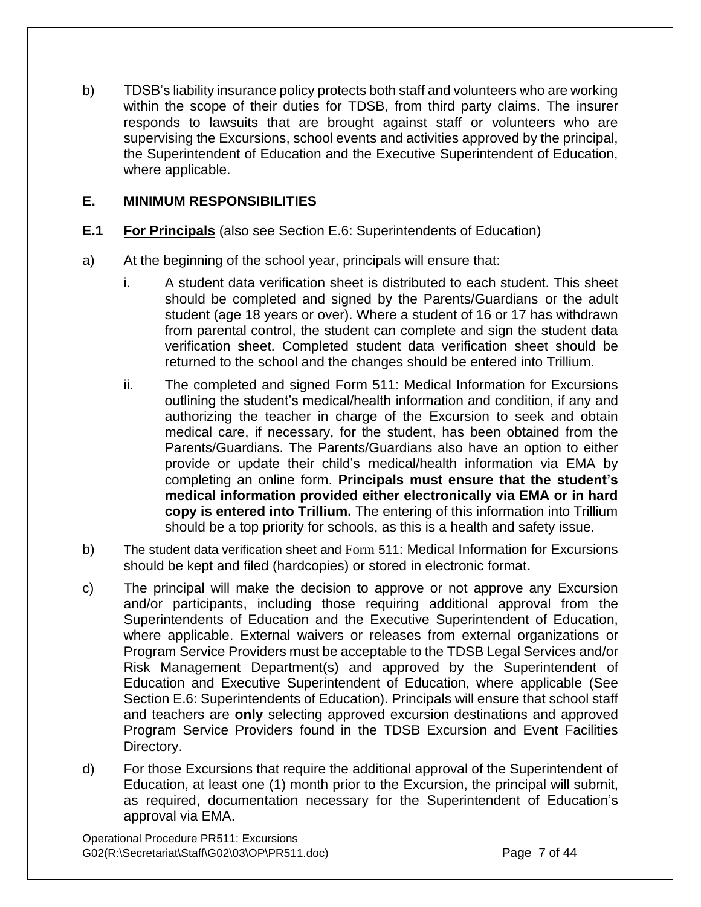b) TDSB's liability insurance policy protects both staff and volunteers who are working within the scope of their duties for TDSB, from third party claims. The insurer responds to lawsuits that are brought against staff or volunteers who are supervising the Excursions, school events and activities approved by the principal, the Superintendent of Education and the Executive Superintendent of Education, where applicable.

## **E. MINIMUM RESPONSIBILITIES**

- **E.1 For Principals** (also see Section E.6: Superintendents of Education)
- a) At the beginning of the school year, principals will ensure that:
	- i. A student data verification sheet is distributed to each student. This sheet should be completed and signed by the Parents/Guardians or the adult student (age 18 years or over). Where a student of 16 or 17 has withdrawn from parental control, the student can complete and sign the student data verification sheet. Completed student data verification sheet should be returned to the school and the changes should be entered into Trillium.
	- ii. The completed and signed Form 511: Medical Information for Excursions outlining the student's medical/health information and condition, if any and authorizing the teacher in charge of the Excursion to seek and obtain medical care, if necessary, for the student, has been obtained from the Parents/Guardians. The Parents/Guardians also have an option to either provide or update their child's medical/health information via EMA by completing an online form. **Principals must ensure that the student's medical information provided either electronically via EMA or in hard copy is entered into Trillium.** The entering of this information into Trillium should be a top priority for schools, as this is a health and safety issue.
- b) The student data verification sheet and Form 511: Medical Information for Excursions should be kept and filed (hardcopies) or stored in electronic format.
- c) The principal will make the decision to approve or not approve any Excursion and/or participants, including those requiring additional approval from the Superintendents of Education and the Executive Superintendent of Education, where applicable. External waivers or releases from external organizations or Program Service Providers must be acceptable to the TDSB Legal Services and/or Risk Management Department(s) and approved by the Superintendent of Education and Executive Superintendent of Education, where applicable (See Section E.6: Superintendents of Education). Principals will ensure that school staff and teachers are **only** selecting approved excursion destinations and approved Program Service Providers found in the TDSB Excursion and Event Facilities Directory.
- d) For those Excursions that require the additional approval of the Superintendent of Education, at least one (1) month prior to the Excursion, the principal will submit, as required, documentation necessary for the Superintendent of Education's approval via EMA.

Operational Procedure PR511: Excursions G02(R:\Secretariat\Staff\G02\03\OP\PR511.doc) Page 7 of 44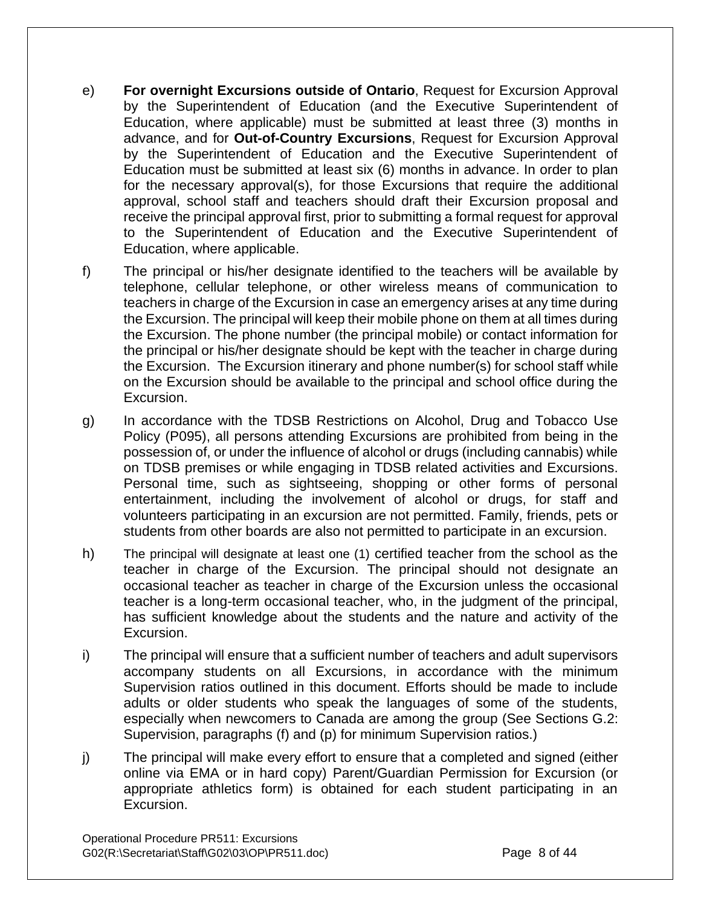- e) **For overnight Excursions outside of Ontario**, Request for Excursion Approval by the Superintendent of Education (and the Executive Superintendent of Education, where applicable) must be submitted at least three (3) months in advance, and for **Out-of-Country Excursions**, Request for Excursion Approval by the Superintendent of Education and the Executive Superintendent of Education must be submitted at least six (6) months in advance. In order to plan for the necessary approval(s), for those Excursions that require the additional approval, school staff and teachers should draft their Excursion proposal and receive the principal approval first, prior to submitting a formal request for approval to the Superintendent of Education and the Executive Superintendent of Education, where applicable.
- f) The principal or his/her designate identified to the teachers will be available by telephone, cellular telephone, or other wireless means of communication to teachers in charge of the Excursion in case an emergency arises at any time during the Excursion. The principal will keep their mobile phone on them at all times during the Excursion. The phone number (the principal mobile) or contact information for the principal or his/her designate should be kept with the teacher in charge during the Excursion. The Excursion itinerary and phone number(s) for school staff while on the Excursion should be available to the principal and school office during the Excursion.
- g) In accordance with the TDSB Restrictions on Alcohol, Drug and Tobacco Use Policy (P095), all persons attending Excursions are prohibited from being in the possession of, or under the influence of alcohol or drugs (including cannabis) while on TDSB premises or while engaging in TDSB related activities and Excursions. Personal time, such as sightseeing, shopping or other forms of personal entertainment, including the involvement of alcohol or drugs, for staff and volunteers participating in an excursion are not permitted. Family, friends, pets or students from other boards are also not permitted to participate in an excursion.
- h) The principal will designate at least one (1) certified teacher from the school as the teacher in charge of the Excursion. The principal should not designate an occasional teacher as teacher in charge of the Excursion unless the occasional teacher is a long-term occasional teacher, who, in the judgment of the principal, has sufficient knowledge about the students and the nature and activity of the Excursion.
- i) The principal will ensure that a sufficient number of teachers and adult supervisors accompany students on all Excursions, in accordance with the minimum Supervision ratios outlined in this document. Efforts should be made to include adults or older students who speak the languages of some of the students, especially when newcomers to Canada are among the group (See Sections G.2: Supervision, paragraphs (f) and (p) for minimum Supervision ratios.)
- j) The principal will make every effort to ensure that a completed and signed (either online via EMA or in hard copy) Parent/Guardian Permission for Excursion (or appropriate athletics form) is obtained for each student participating in an Excursion.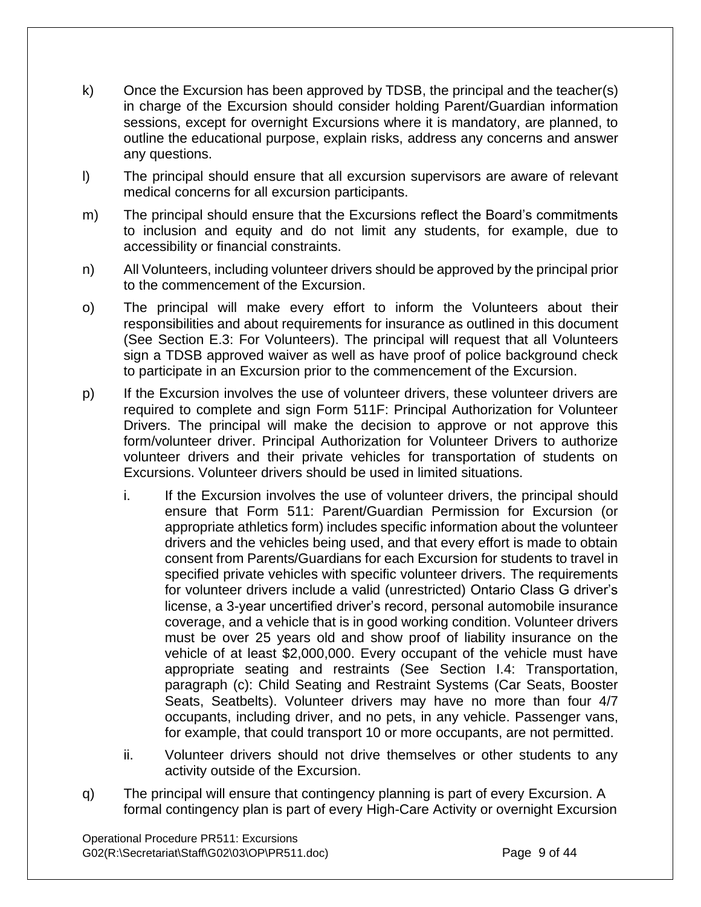- k) Once the Excursion has been approved by TDSB, the principal and the teacher(s) in charge of the Excursion should consider holding Parent/Guardian information sessions, except for overnight Excursions where it is mandatory, are planned, to outline the educational purpose, explain risks, address any concerns and answer any questions.
- l) The principal should ensure that all excursion supervisors are aware of relevant medical concerns for all excursion participants.
- m) The principal should ensure that the Excursions reflect the Board's commitments to inclusion and equity and do not limit any students, for example, due to accessibility or financial constraints.
- n) All Volunteers, including volunteer drivers should be approved by the principal prior to the commencement of the Excursion.
- o) The principal will make every effort to inform the Volunteers about their responsibilities and about requirements for insurance as outlined in this document (See Section E.3: For Volunteers). The principal will request that all Volunteers sign a TDSB approved waiver as well as have proof of police background check to participate in an Excursion prior to the commencement of the Excursion.
- p) If the Excursion involves the use of volunteer drivers, these volunteer drivers are required to complete and sign Form 511F: Principal Authorization for Volunteer Drivers. The principal will make the decision to approve or not approve this form/volunteer driver. Principal Authorization for Volunteer Drivers to authorize volunteer drivers and their private vehicles for transportation of students on Excursions. Volunteer drivers should be used in limited situations.
	- i. If the Excursion involves the use of volunteer drivers, the principal should ensure that Form 511: Parent/Guardian Permission for Excursion (or appropriate athletics form) includes specific information about the volunteer drivers and the vehicles being used, and that every effort is made to obtain consent from Parents/Guardians for each Excursion for students to travel in specified private vehicles with specific volunteer drivers. The requirements for volunteer drivers include a valid (unrestricted) Ontario Class G driver's license, a 3-year uncertified driver's record, personal automobile insurance coverage, and a vehicle that is in good working condition. Volunteer drivers must be over 25 years old and show proof of liability insurance on the vehicle of at least \$2,000,000. Every occupant of the vehicle must have appropriate seating and restraints (See Section I.4: Transportation, paragraph (c): Child Seating and Restraint Systems (Car Seats, Booster Seats, Seatbelts). Volunteer drivers may have no more than four 4/7 occupants, including driver, and no pets, in any vehicle. Passenger vans, for example, that could transport 10 or more occupants, are not permitted.
	- ii. Volunteer drivers should not drive themselves or other students to any activity outside of the Excursion.
- q) The principal will ensure that contingency planning is part of every Excursion. A formal contingency plan is part of every High-Care Activity or overnight Excursion

Operational Procedure PR511: Excursions G02(R:\Secretariat\Staff\G02\03\OP\PR511.doc) Page 9 of 44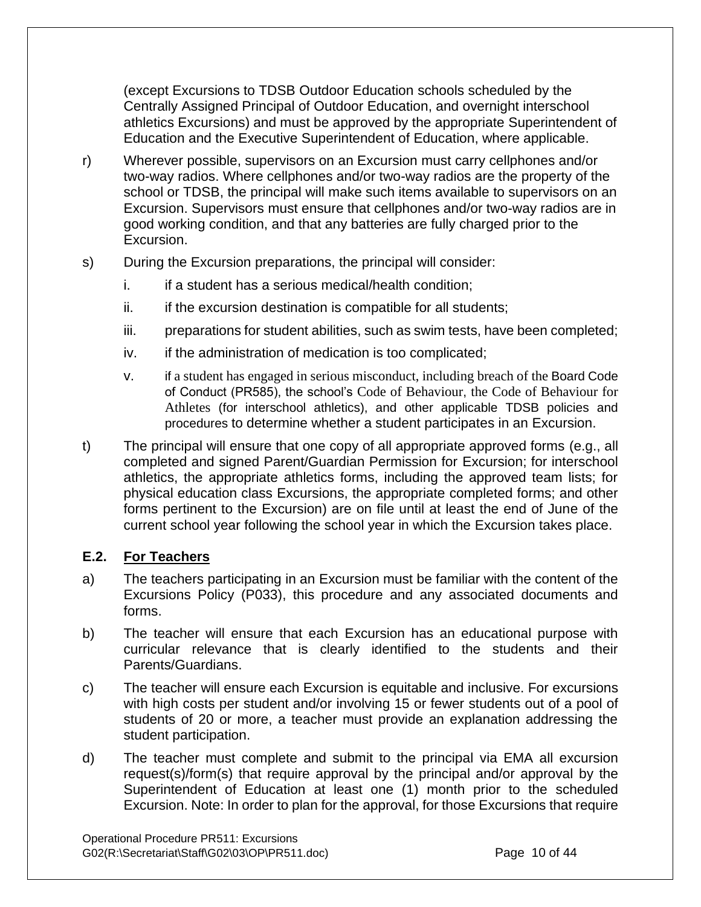(except Excursions to TDSB Outdoor Education schools scheduled by the Centrally Assigned Principal of Outdoor Education, and overnight interschool athletics Excursions) and must be approved by the appropriate Superintendent of Education and the Executive Superintendent of Education, where applicable.

- r) Wherever possible, supervisors on an Excursion must carry cellphones and/or two-way radios. Where cellphones and/or two-way radios are the property of the school or TDSB, the principal will make such items available to supervisors on an Excursion. Supervisors must ensure that cellphones and/or two-way radios are in good working condition, and that any batteries are fully charged prior to the Excursion.
- s) During the Excursion preparations, the principal will consider:
	- i. if a student has a serious medical/health condition;
	- $ii.$  if the excursion destination is compatible for all students;
	- iii. preparations for student abilities, such as swim tests, have been completed;
	- iv. if the administration of medication is too complicated;
	- v. if a student has engaged in serious misconduct, including breach of the Board Code of Conduct (PR585), the school's Code of Behaviour, the Code of Behaviour for Athletes (for interschool athletics), and other applicable TDSB policies and procedures to determine whether a student participates in an Excursion.
- t) The principal will ensure that one copy of all appropriate approved forms (e.g., all completed and signed Parent/Guardian Permission for Excursion; for interschool athletics, the appropriate athletics forms, including the approved team lists; for physical education class Excursions, the appropriate completed forms; and other forms pertinent to the Excursion) are on file until at least the end of June of the current school year following the school year in which the Excursion takes place.

## **E.2. For Teachers**

- a) The teachers participating in an Excursion must be familiar with the content of the Excursions Policy (P033), this procedure and any associated documents and forms.
- b) The teacher will ensure that each Excursion has an educational purpose with curricular relevance that is clearly identified to the students and their Parents/Guardians.
- c) The teacher will ensure each Excursion is equitable and inclusive. For excursions with high costs per student and/or involving 15 or fewer students out of a pool of students of 20 or more, a teacher must provide an explanation addressing the student participation.
- d) The teacher must complete and submit to the principal via EMA all excursion request(s)/form(s) that require approval by the principal and/or approval by the Superintendent of Education at least one (1) month prior to the scheduled Excursion. Note: In order to plan for the approval, for those Excursions that require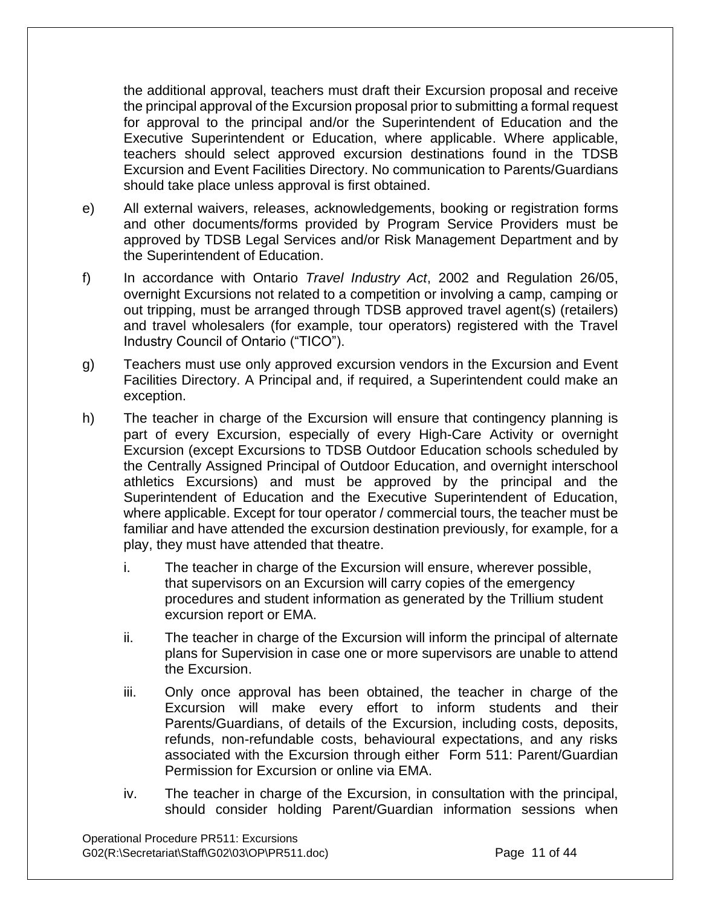the additional approval, teachers must draft their Excursion proposal and receive the principal approval of the Excursion proposal prior to submitting a formal request for approval to the principal and/or the Superintendent of Education and the Executive Superintendent or Education, where applicable. Where applicable, teachers should select approved excursion destinations found in the TDSB Excursion and Event Facilities Directory. No communication to Parents/Guardians should take place unless approval is first obtained.

- e) All external waivers, releases, acknowledgements, booking or registration forms and other documents/forms provided by Program Service Providers must be approved by TDSB Legal Services and/or Risk Management Department and by the Superintendent of Education.
- f) In accordance with Ontario *Travel Industry Act*, 2002 and Regulation 26/05, overnight Excursions not related to a competition or involving a camp, camping or out tripping, must be arranged through TDSB approved travel agent(s) (retailers) and travel wholesalers (for example, tour operators) registered with the Travel Industry Council of Ontario ("TICO").
- g) Teachers must use only approved excursion vendors in the Excursion and Event Facilities Directory. A Principal and, if required, a Superintendent could make an exception.
- h) The teacher in charge of the Excursion will ensure that contingency planning is part of every Excursion, especially of every High-Care Activity or overnight Excursion (except Excursions to TDSB Outdoor Education schools scheduled by the Centrally Assigned Principal of Outdoor Education, and overnight interschool athletics Excursions) and must be approved by the principal and the Superintendent of Education and the Executive Superintendent of Education, where applicable. Except for tour operator / commercial tours, the teacher must be familiar and have attended the excursion destination previously, for example, for a play, they must have attended that theatre.
	- i. The teacher in charge of the Excursion will ensure, wherever possible, that supervisors on an Excursion will carry copies of the emergency procedures and student information as generated by the Trillium student excursion report or EMA.
	- ii. The teacher in charge of the Excursion will inform the principal of alternate plans for Supervision in case one or more supervisors are unable to attend the Excursion.
	- iii. Only once approval has been obtained, the teacher in charge of the Excursion will make every effort to inform students and their Parents/Guardians, of details of the Excursion, including costs, deposits, refunds, non-refundable costs, behavioural expectations, and any risks associated with the Excursion through either Form 511: Parent/Guardian Permission for Excursion or online via EMA.
	- iv. The teacher in charge of the Excursion, in consultation with the principal, should consider holding Parent/Guardian information sessions when

Operational Procedure PR511: Excursions G02(R:\Secretariat\Staff\G02\03\OP\PR511.doc) Page 11 of 44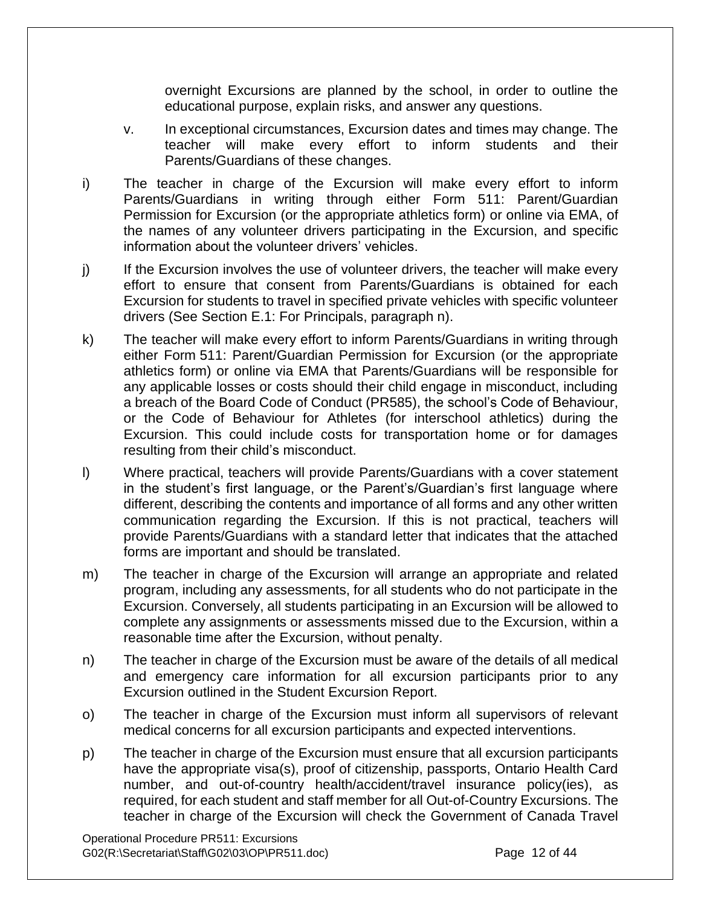overnight Excursions are planned by the school, in order to outline the educational purpose, explain risks, and answer any questions.

- v. In exceptional circumstances, Excursion dates and times may change. The teacher will make every effort to inform students and their Parents/Guardians of these changes.
- i) The teacher in charge of the Excursion will make every effort to inform Parents/Guardians in writing through either Form 511: Parent/Guardian Permission for Excursion (or the appropriate athletics form) or online via EMA, of the names of any volunteer drivers participating in the Excursion, and specific information about the volunteer drivers' vehicles.
- j) If the Excursion involves the use of volunteer drivers, the teacher will make every effort to ensure that consent from Parents/Guardians is obtained for each Excursion for students to travel in specified private vehicles with specific volunteer drivers (See Section E.1: For Principals, paragraph n).
- k) The teacher will make every effort to inform Parents/Guardians in writing through either Form 511: Parent/Guardian Permission for Excursion (or the appropriate athletics form) or online via EMA that Parents/Guardians will be responsible for any applicable losses or costs should their child engage in misconduct, including a breach of the Board Code of Conduct (PR585), the school's Code of Behaviour, or the Code of Behaviour for Athletes (for interschool athletics) during the Excursion. This could include costs for transportation home or for damages resulting from their child's misconduct.
- l) Where practical, teachers will provide Parents/Guardians with a cover statement in the student's first language, or the Parent's/Guardian's first language where different, describing the contents and importance of all forms and any other written communication regarding the Excursion. If this is not practical, teachers will provide Parents/Guardians with a standard letter that indicates that the attached forms are important and should be translated.
- m) The teacher in charge of the Excursion will arrange an appropriate and related program, including any assessments, for all students who do not participate in the Excursion. Conversely, all students participating in an Excursion will be allowed to complete any assignments or assessments missed due to the Excursion, within a reasonable time after the Excursion, without penalty.
- n) The teacher in charge of the Excursion must be aware of the details of all medical and emergency care information for all excursion participants prior to any Excursion outlined in the Student Excursion Report.
- o) The teacher in charge of the Excursion must inform all supervisors of relevant medical concerns for all excursion participants and expected interventions.
- p) The teacher in charge of the Excursion must ensure that all excursion participants have the appropriate visa(s), proof of citizenship, passports, Ontario Health Card number, and out-of-country health/accident/travel insurance policy(ies), as required, for each student and staff member for all Out-of-Country Excursions. The teacher in charge of the Excursion will check the Government of Canada Travel

Operational Procedure PR511: Excursions G02(R:\Secretariat\Staff\G02\03\OP\PR511.doc) Page 12 of 44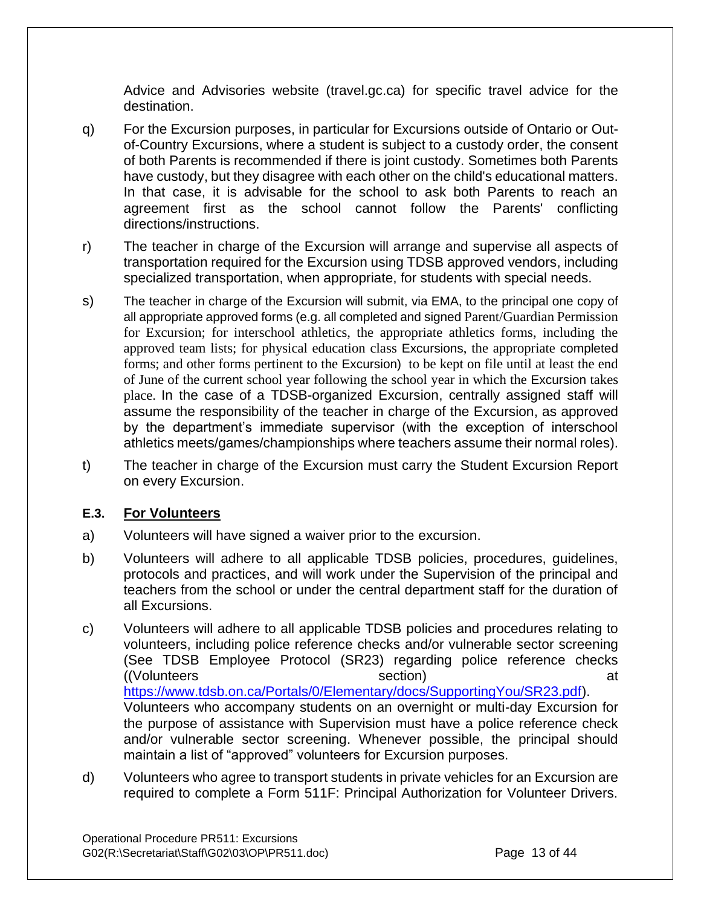Advice and Advisories website (travel.gc.ca) for specific travel advice for the destination.

- q) For the Excursion purposes, in particular for Excursions outside of Ontario or Outof-Country Excursions, where a student is subject to a custody order, the consent of both Parents is recommended if there is joint custody. Sometimes both Parents have custody, but they disagree with each other on the child's educational matters. In that case, it is advisable for the school to ask both Parents to reach an agreement first as the school cannot follow the Parents' conflicting directions/instructions.
- r) The teacher in charge of the Excursion will arrange and supervise all aspects of transportation required for the Excursion using TDSB approved vendors, including specialized transportation, when appropriate, for students with special needs.
- s) The teacher in charge of the Excursion will submit, via EMA, to the principal one copy of all appropriate approved forms (e.g. all completed and signed Parent/Guardian Permission for Excursion; for interschool athletics, the appropriate athletics forms, including the approved team lists; for physical education class Excursions, the appropriate completed forms; and other forms pertinent to the Excursion) to be kept on file until at least the end of June of the current school year following the school year in which the Excursion takes place. In the case of a TDSB-organized Excursion, centrally assigned staff will assume the responsibility of the teacher in charge of the Excursion, as approved by the department's immediate supervisor (with the exception of interschool athletics meets/games/championships where teachers assume their normal roles).
- t) The teacher in charge of the Excursion must carry the Student Excursion Report on every Excursion.

## **E.3. For Volunteers**

- a) Volunteers will have signed a waiver prior to the excursion.
- b) Volunteers will adhere to all applicable TDSB policies, procedures, guidelines, protocols and practices, and will work under the Supervision of the principal and teachers from the school or under the central department staff for the duration of all Excursions.
- c) Volunteers will adhere to all applicable TDSB policies and procedures relating to volunteers, including police reference checks and/or vulnerable sector screening (See TDSB Employee Protocol (SR23) regarding police reference checks ((Volunteers section) at [https://www.tdsb.on.ca/Portals/0/Elementary/docs/SupportingYou/SR23.pdf\)](https://www.tdsb.on.ca/Portals/0/Elementary/docs/SupportingYou/SR23.pdf). Volunteers who accompany students on an overnight or multi-day Excursion for the purpose of assistance with Supervision must have a police reference check and/or vulnerable sector screening. Whenever possible, the principal should maintain a list of "approved" volunteers for Excursion purposes.
- d) Volunteers who agree to transport students in private vehicles for an Excursion are required to complete a Form 511F: Principal Authorization for Volunteer Drivers.

Operational Procedure PR511: Excursions G02(R:\Secretariat\Staff\G02\03\OP\PR511.doc) Page 13 of 44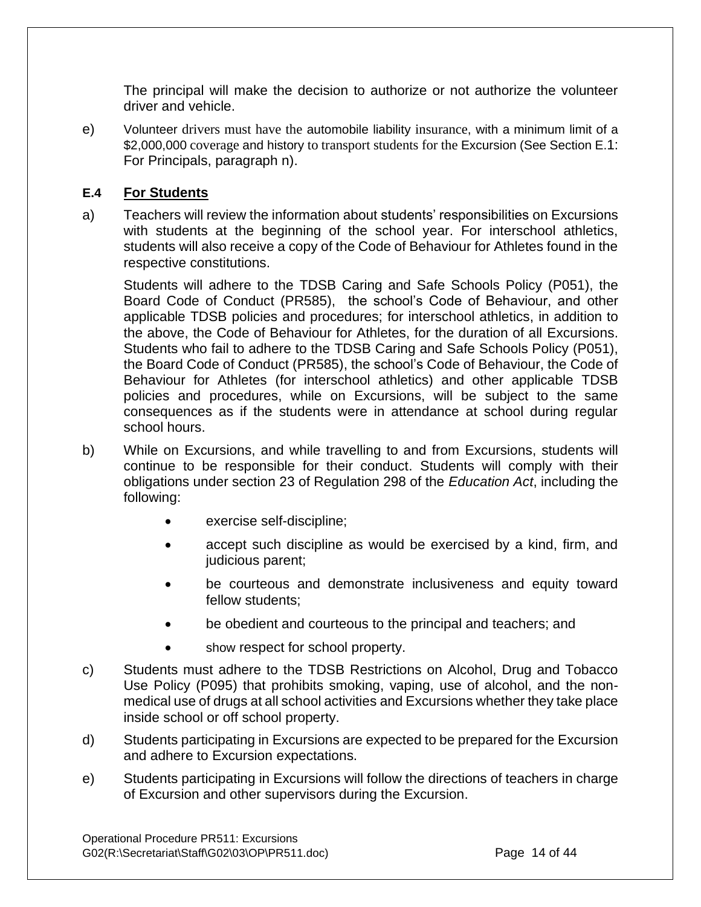The principal will make the decision to authorize or not authorize the volunteer driver and vehicle.

e) Volunteer drivers must have the automobile liability insurance, with a minimum limit of a \$2,000,000 coverage and history to transport students for the Excursion (See Section E.1: For Principals, paragraph n).

## **E.4 For Students**

a) Teachers will review the information about students' responsibilities on Excursions with students at the beginning of the school year. For interschool athletics, students will also receive a copy of the Code of Behaviour for Athletes found in the respective constitutions.

Students will adhere to the TDSB Caring and Safe Schools Policy (P051), the Board Code of Conduct (PR585), the school's Code of Behaviour, and other applicable TDSB policies and procedures; for interschool athletics, in addition to the above, the Code of Behaviour for Athletes, for the duration of all Excursions. Students who fail to adhere to the TDSB Caring and Safe Schools Policy (P051), the Board Code of Conduct (PR585), the school's Code of Behaviour, the Code of Behaviour for Athletes (for interschool athletics) and other applicable TDSB policies and procedures, while on Excursions, will be subject to the same consequences as if the students were in attendance at school during regular school hours.

- b) While on Excursions, and while travelling to and from Excursions, students will continue to be responsible for their conduct. Students will comply with their obligations under section 23 of Regulation 298 of the *Education Act*, including the following:
	- exercise self-discipline;
	- accept such discipline as would be exercised by a kind, firm, and judicious parent;
	- be courteous and demonstrate inclusiveness and equity toward fellow students;
	- be obedient and courteous to the principal and teachers; and
	- show respect for school property.
- c) Students must adhere to the TDSB Restrictions on Alcohol, Drug and Tobacco Use Policy (P095) that prohibits smoking, vaping, use of alcohol, and the nonmedical use of drugs at all school activities and Excursions whether they take place inside school or off school property.
- d) Students participating in Excursions are expected to be prepared for the Excursion and adhere to Excursion expectations.
- e) Students participating in Excursions will follow the directions of teachers in charge of Excursion and other supervisors during the Excursion.

Operational Procedure PR511: Excursions G02(R:\Secretariat\Staff\G02\03\OP\PR511.doc) Page 14 of 44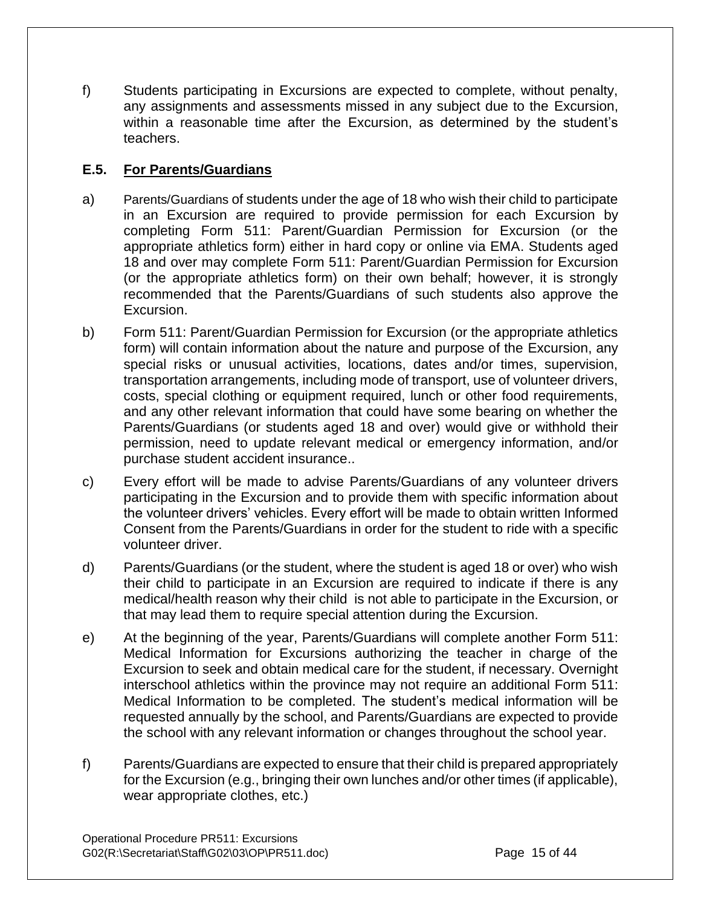f) Students participating in Excursions are expected to complete, without penalty, any assignments and assessments missed in any subject due to the Excursion, within a reasonable time after the Excursion, as determined by the student's teachers.

## **E.5. For Parents/Guardians**

- a) Parents/Guardians of students under the age of 18 who wish their child to participate in an Excursion are required to provide permission for each Excursion by completing Form 511: Parent/Guardian Permission for Excursion (or the appropriate athletics form) either in hard copy or online via EMA. Students aged 18 and over may complete Form 511: Parent/Guardian Permission for Excursion (or the appropriate athletics form) on their own behalf; however, it is strongly recommended that the Parents/Guardians of such students also approve the Excursion.
- b) Form 511: Parent/Guardian Permission for Excursion (or the appropriate athletics form) will contain information about the nature and purpose of the Excursion, any special risks or unusual activities, locations, dates and/or times, supervision, transportation arrangements, including mode of transport, use of volunteer drivers, costs, special clothing or equipment required, lunch or other food requirements, and any other relevant information that could have some bearing on whether the Parents/Guardians (or students aged 18 and over) would give or withhold their permission, need to update relevant medical or emergency information, and/or purchase student accident insurance..
- c) Every effort will be made to advise Parents/Guardians of any volunteer drivers participating in the Excursion and to provide them with specific information about the volunteer drivers' vehicles. Every effort will be made to obtain written Informed Consent from the Parents/Guardians in order for the student to ride with a specific volunteer driver.
- d) Parents/Guardians (or the student, where the student is aged 18 or over) who wish their child to participate in an Excursion are required to indicate if there is any medical/health reason why their child is not able to participate in the Excursion, or that may lead them to require special attention during the Excursion.
- e) At the beginning of the year, Parents/Guardians will complete another Form 511: Medical Information for Excursions authorizing the teacher in charge of the Excursion to seek and obtain medical care for the student, if necessary. Overnight interschool athletics within the province may not require an additional Form 511: Medical Information to be completed. The student's medical information will be requested annually by the school, and Parents/Guardians are expected to provide the school with any relevant information or changes throughout the school year.
- f) Parents/Guardians are expected to ensure that their child is prepared appropriately for the Excursion (e.g., bringing their own lunches and/or other times (if applicable), wear appropriate clothes, etc.)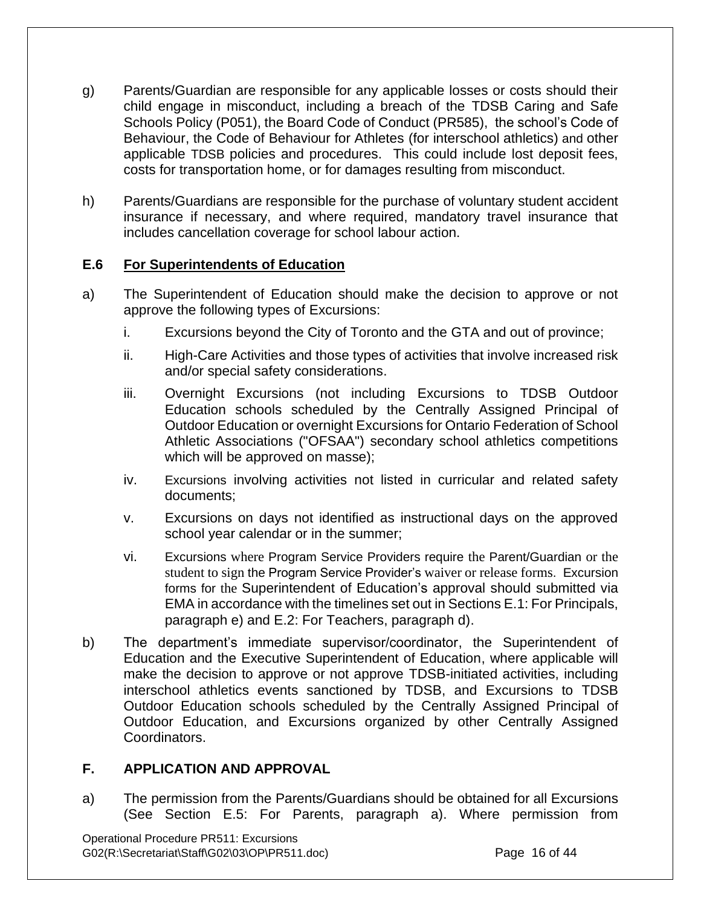- g) Parents/Guardian are responsible for any applicable losses or costs should their child engage in misconduct, including a breach of the TDSB Caring and Safe Schools Policy (P051), the Board Code of Conduct (PR585), the school's Code of Behaviour, the Code of Behaviour for Athletes (for interschool athletics) and other applicable TDSB policies and procedures. This could include lost deposit fees, costs for transportation home, or for damages resulting from misconduct.
- h) Parents/Guardians are responsible for the purchase of voluntary student accident insurance if necessary, and where required, mandatory travel insurance that includes cancellation coverage for school labour action.

## **E.6 For Superintendents of Education**

- a) The Superintendent of Education should make the decision to approve or not approve the following types of Excursions:
	- i. Excursions beyond the City of Toronto and the GTA and out of province;
	- ii. High-Care Activities and those types of activities that involve increased risk and/or special safety considerations.
	- iii. Overnight Excursions (not including Excursions to TDSB Outdoor Education schools scheduled by the Centrally Assigned Principal of Outdoor Education or overnight Excursions for Ontario Federation of School Athletic Associations ("OFSAA") secondary school athletics competitions which will be approved on masse);
	- iv. Excursions involving activities not listed in curricular and related safety documents;
	- v. Excursions on days not identified as instructional days on the approved school year calendar or in the summer;
	- vi. Excursions where Program Service Providers require the Parent/Guardian or the student to sign the Program Service Provider's waiver or release forms. Excursion forms for the Superintendent of Education's approval should submitted via EMA in accordance with the timelines set out in Sections E.1: For Principals, paragraph e) and E.2: For Teachers, paragraph d).
- b) The department's immediate supervisor/coordinator, the Superintendent of Education and the Executive Superintendent of Education, where applicable will make the decision to approve or not approve TDSB-initiated activities, including interschool athletics events sanctioned by TDSB, and Excursions to TDSB Outdoor Education schools scheduled by the Centrally Assigned Principal of Outdoor Education, and Excursions organized by other Centrally Assigned Coordinators.

## **F. APPLICATION AND APPROVAL**

a) The permission from the Parents/Guardians should be obtained for all Excursions (See Section E.5: For Parents, paragraph a). Where permission from

Operational Procedure PR511: Excursions G02(R:\Secretariat\Staff\G02\03\OP\PR511.doc) Page 16 of 44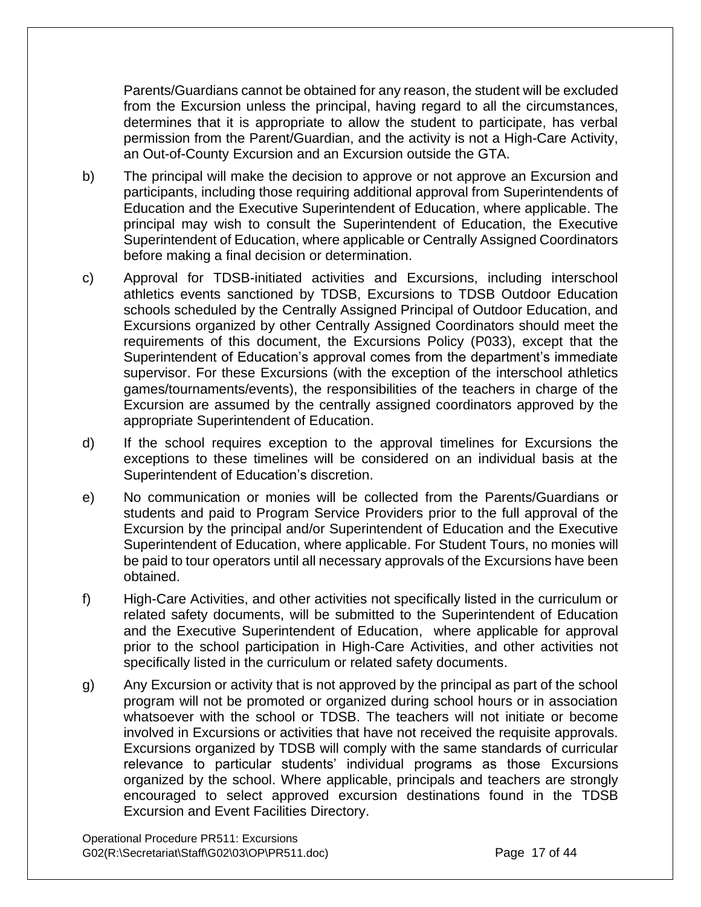Parents/Guardians cannot be obtained for any reason, the student will be excluded from the Excursion unless the principal, having regard to all the circumstances, determines that it is appropriate to allow the student to participate, has verbal permission from the Parent/Guardian, and the activity is not a High-Care Activity, an Out-of-County Excursion and an Excursion outside the GTA.

- b) The principal will make the decision to approve or not approve an Excursion and participants, including those requiring additional approval from Superintendents of Education and the Executive Superintendent of Education, where applicable. The principal may wish to consult the Superintendent of Education, the Executive Superintendent of Education, where applicable or Centrally Assigned Coordinators before making a final decision or determination.
- c) Approval for TDSB-initiated activities and Excursions, including interschool athletics events sanctioned by TDSB, Excursions to TDSB Outdoor Education schools scheduled by the Centrally Assigned Principal of Outdoor Education, and Excursions organized by other Centrally Assigned Coordinators should meet the requirements of this document, the Excursions Policy (P033), except that the Superintendent of Education's approval comes from the department's immediate supervisor. For these Excursions (with the exception of the interschool athletics games/tournaments/events), the responsibilities of the teachers in charge of the Excursion are assumed by the centrally assigned coordinators approved by the appropriate Superintendent of Education.
- d) If the school requires exception to the approval timelines for Excursions the exceptions to these timelines will be considered on an individual basis at the Superintendent of Education's discretion.
- e) No communication or monies will be collected from the Parents/Guardians or students and paid to Program Service Providers prior to the full approval of the Excursion by the principal and/or Superintendent of Education and the Executive Superintendent of Education, where applicable. For Student Tours, no monies will be paid to tour operators until all necessary approvals of the Excursions have been obtained.
- f) High-Care Activities, and other activities not specifically listed in the curriculum or related safety documents, will be submitted to the Superintendent of Education and the Executive Superintendent of Education, where applicable for approval prior to the school participation in High-Care Activities, and other activities not specifically listed in the curriculum or related safety documents.
- g) Any Excursion or activity that is not approved by the principal as part of the school program will not be promoted or organized during school hours or in association whatsoever with the school or TDSB. The teachers will not initiate or become involved in Excursions or activities that have not received the requisite approvals. Excursions organized by TDSB will comply with the same standards of curricular relevance to particular students' individual programs as those Excursions organized by the school. Where applicable, principals and teachers are strongly encouraged to select approved excursion destinations found in the TDSB Excursion and Event Facilities Directory.

Operational Procedure PR511: Excursions G02(R:\Secretariat\Staff\G02\03\OP\PR511.doc) Page 17 of 44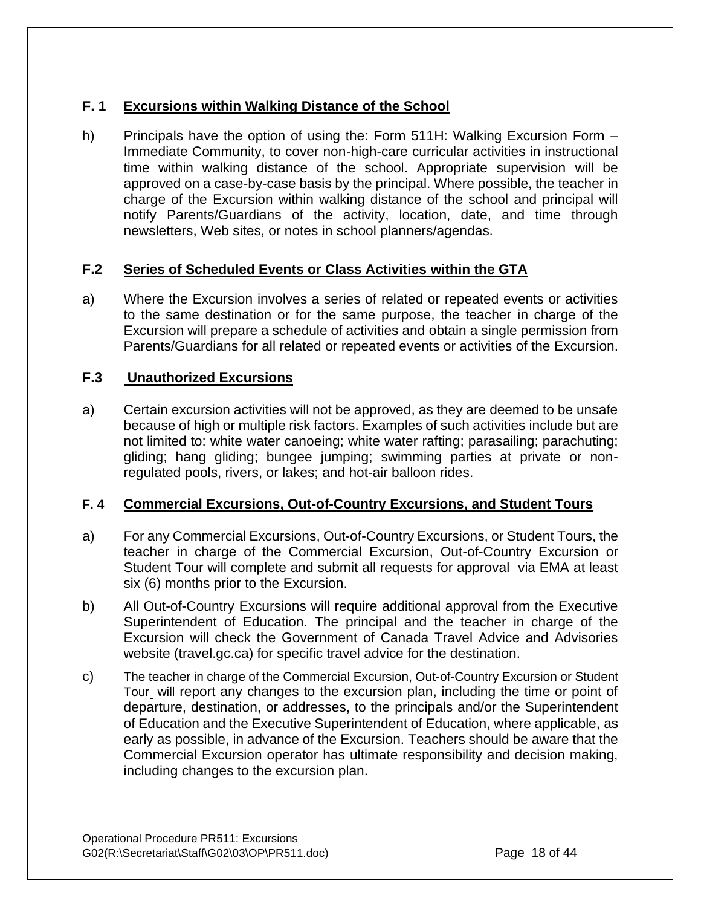## **F. 1 Excursions within Walking Distance of the School**

h) Principals have the option of using the: Form 511H: Walking Excursion Form – Immediate Community, to cover non-high-care curricular activities in instructional time within walking distance of the school. Appropriate supervision will be approved on a case-by-case basis by the principal. Where possible, the teacher in charge of the Excursion within walking distance of the school and principal will notify Parents/Guardians of the activity, location, date, and time through newsletters, Web sites, or notes in school planners/agendas.

## **F.2 Series of Scheduled Events or Class Activities within the GTA**

a) Where the Excursion involves a series of related or repeated events or activities to the same destination or for the same purpose, the teacher in charge of the Excursion will prepare a schedule of activities and obtain a single permission from Parents/Guardians for all related or repeated events or activities of the Excursion.

## **F.3 Unauthorized Excursions**

a) Certain excursion activities will not be approved, as they are deemed to be unsafe because of high or multiple risk factors. Examples of such activities include but are not limited to: white water canoeing; white water rafting; parasailing; parachuting; gliding; hang gliding; bungee jumping; swimming parties at private or nonregulated pools, rivers, or lakes; and hot-air balloon rides.

## **F. 4 Commercial Excursions, Out-of-Country Excursions, and Student Tours**

- a) For any Commercial Excursions, Out-of-Country Excursions, or Student Tours, the teacher in charge of the Commercial Excursion, Out-of-Country Excursion or Student Tour will complete and submit all requests for approval via EMA at least six (6) months prior to the Excursion.
- b) All Out-of-Country Excursions will require additional approval from the Executive Superintendent of Education. The principal and the teacher in charge of the Excursion will check the Government of Canada Travel Advice and Advisories website (travel.gc.ca) for specific travel advice for the destination.
- c) The teacher in charge of the Commercial Excursion, Out-of-Country Excursion or Student Tour will report any changes to the excursion plan, including the time or point of departure, destination, or addresses, to the principals and/or the Superintendent of Education and the Executive Superintendent of Education, where applicable, as early as possible, in advance of the Excursion. Teachers should be aware that the Commercial Excursion operator has ultimate responsibility and decision making, including changes to the excursion plan.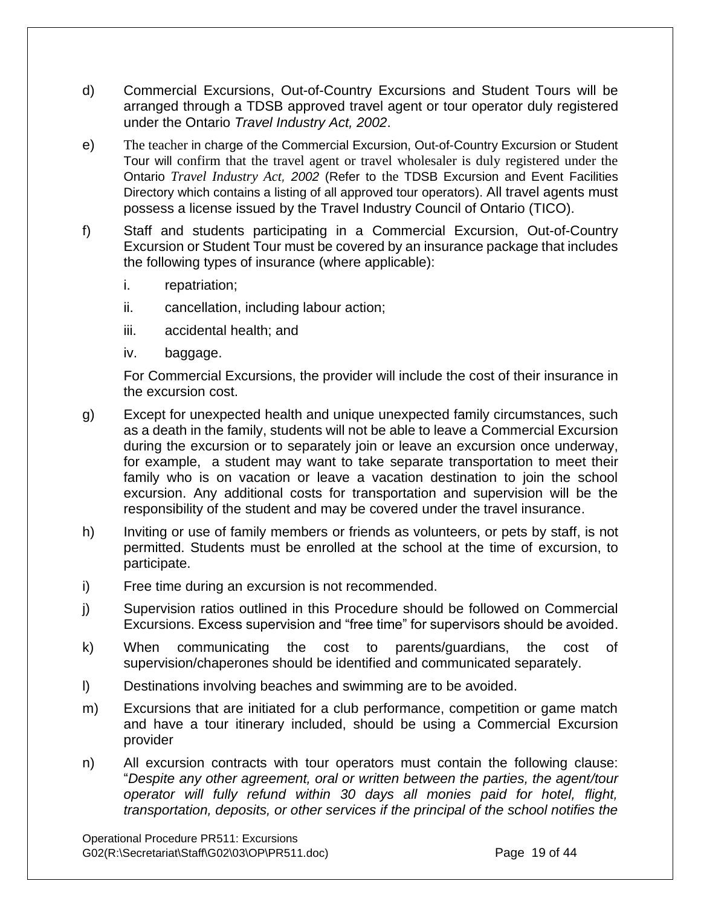- d) Commercial Excursions, Out-of-Country Excursions and Student Tours will be arranged through a TDSB approved travel agent or tour operator duly registered under the Ontario *Travel Industry Act, 2002*.
- e) The teacher in charge of the Commercial Excursion, Out-of-Country Excursion or Student Tour will confirm that the travel agent or travel wholesaler is duly registered under the Ontario *Travel Industry Act, 2002* (Refer to the TDSB Excursion and Event Facilities Directory which contains a listing of all approved tour operators). All travel agents must possess a license issued by the Travel Industry Council of Ontario (TICO).
- f) Staff and students participating in a Commercial Excursion, Out-of-Country Excursion or Student Tour must be covered by an insurance package that includes the following types of insurance (where applicable):
	- i. repatriation;
	- ii. cancellation, including labour action;
	- iii. accidental health; and
	- iv. baggage.

For Commercial Excursions, the provider will include the cost of their insurance in the excursion cost.

- g) Except for unexpected health and unique unexpected family circumstances, such as a death in the family, students will not be able to leave a Commercial Excursion during the excursion or to separately join or leave an excursion once underway, for example, a student may want to take separate transportation to meet their family who is on vacation or leave a vacation destination to join the school excursion. Any additional costs for transportation and supervision will be the responsibility of the student and may be covered under the travel insurance.
- h) Inviting or use of family members or friends as volunteers, or pets by staff, is not permitted. Students must be enrolled at the school at the time of excursion, to participate.
- i) Free time during an excursion is not recommended.
- j) Supervision ratios outlined in this Procedure should be followed on Commercial Excursions. Excess supervision and "free time" for supervisors should be avoided.
- k) When communicating the cost to parents/guardians, the cost of supervision/chaperones should be identified and communicated separately.
- l) Destinations involving beaches and swimming are to be avoided.
- m) Excursions that are initiated for a club performance, competition or game match and have a tour itinerary included, should be using a Commercial Excursion provider
- n) All excursion contracts with tour operators must contain the following clause: "*Despite any other agreement, oral or written between the parties, the agent/tour operator will fully refund within 30 days all monies paid for hotel, flight, transportation, deposits, or other services if the principal of the school notifies the*

Operational Procedure PR511: Excursions G02(R:\Secretariat\Staff\G02\03\OP\PR511.doc) Page 19 of 44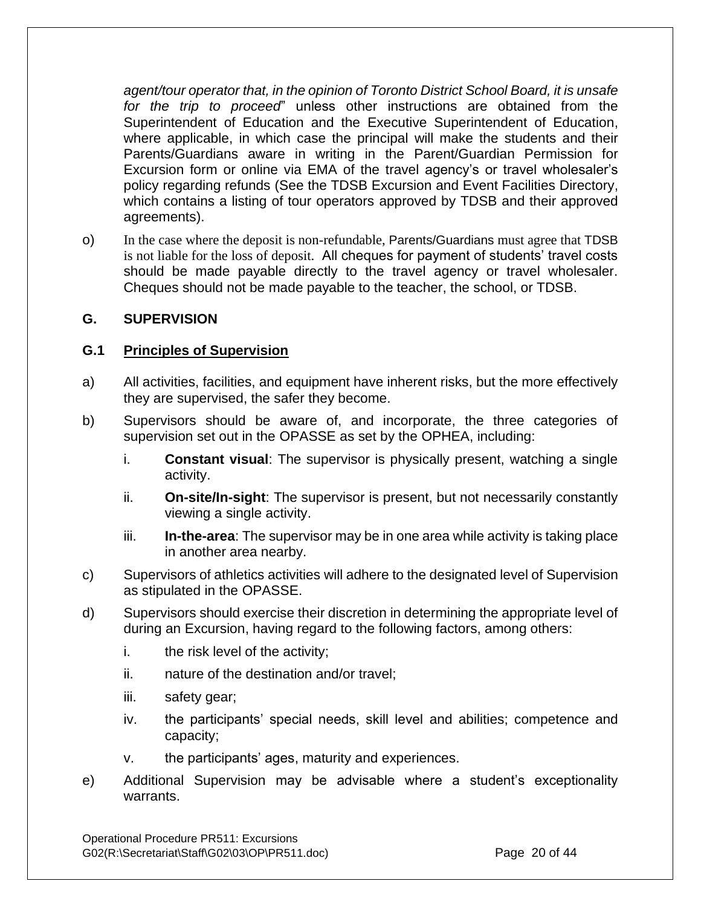*agent/tour operator that, in the opinion of Toronto District School Board, it is unsafe for the trip to proceed*" unless other instructions are obtained from the Superintendent of Education and the Executive Superintendent of Education, where applicable, in which case the principal will make the students and their Parents/Guardians aware in writing in the Parent/Guardian Permission for Excursion form or online via EMA of the travel agency's or travel wholesaler's policy regarding refunds (See the TDSB Excursion and Event Facilities Directory, which contains a listing of tour operators approved by TDSB and their approved agreements).

o) In the case where the deposit is non-refundable, Parents/Guardians must agree that TDSB is not liable for the loss of deposit. All cheques for payment of students' travel costs should be made payable directly to the travel agency or travel wholesaler. Cheques should not be made payable to the teacher, the school, or TDSB.

## **G. SUPERVISION**

#### **G.1 Principles of Supervision**

- a) All activities, facilities, and equipment have inherent risks, but the more effectively they are supervised, the safer they become.
- b) Supervisors should be aware of, and incorporate, the three categories of supervision set out in the OPASSE as set by the OPHEA, including:
	- i. **Constant visual**: The supervisor is physically present, watching a single activity.
	- ii. **On-site/In-sight**: The supervisor is present, but not necessarily constantly viewing a single activity.
	- iii. **In-the-area**: The supervisor may be in one area while activity is taking place in another area nearby.
- c) Supervisors of athletics activities will adhere to the designated level of Supervision as stipulated in the OPASSE.
- d) Supervisors should exercise their discretion in determining the appropriate level of during an Excursion, having regard to the following factors, among others:
	- i. the risk level of the activity;
	- ii. nature of the destination and/or travel;
	- iii. safety gear;
	- iv. the participants' special needs, skill level and abilities; competence and capacity;
	- v. the participants' ages, maturity and experiences.
- e) Additional Supervision may be advisable where a student's exceptionality warrants.

Operational Procedure PR511: Excursions G02(R:\Secretariat\Staff\G02\03\OP\PR511.doc) Page 20 of 44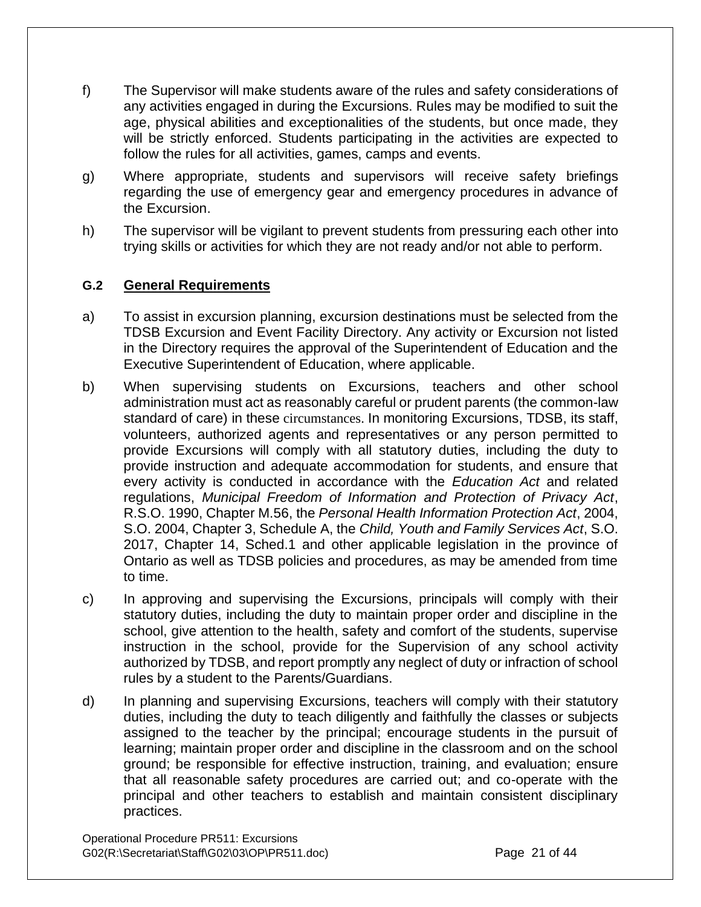- f) The Supervisor will make students aware of the rules and safety considerations of any activities engaged in during the Excursions. Rules may be modified to suit the age, physical abilities and exceptionalities of the students, but once made, they will be strictly enforced. Students participating in the activities are expected to follow the rules for all activities, games, camps and events.
- g) Where appropriate, students and supervisors will receive safety briefings regarding the use of emergency gear and emergency procedures in advance of the Excursion.
- h) The supervisor will be vigilant to prevent students from pressuring each other into trying skills or activities for which they are not ready and/or not able to perform.

#### **G.2 General Requirements**

- a) To assist in excursion planning, excursion destinations must be selected from the TDSB Excursion and Event Facility Directory. Any activity or Excursion not listed in the Directory requires the approval of the Superintendent of Education and the Executive Superintendent of Education, where applicable.
- b) When supervising students on Excursions, teachers and other school administration must act as reasonably careful or prudent parents (the common-law standard of care) in these circumstances. In monitoring Excursions, TDSB, its staff, volunteers, authorized agents and representatives or any person permitted to provide Excursions will comply with all statutory duties, including the duty to provide instruction and adequate accommodation for students, and ensure that every activity is conducted in accordance with the *Education Act* and related regulations, *Municipal Freedom of Information and Protection of Privacy Act*, R.S.O. 1990, Chapter M.56, the *Personal Health Information Protection Act*, 2004, S.O. 2004, Chapter 3, Schedule A, the *Child, Youth and Family Services Act*, S.O. 2017, Chapter 14, Sched.1 and other applicable legislation in the province of Ontario as well as TDSB policies and procedures, as may be amended from time to time.
- c) In approving and supervising the Excursions, principals will comply with their statutory duties, including the duty to maintain proper order and discipline in the school, give attention to the health, safety and comfort of the students, supervise instruction in the school, provide for the Supervision of any school activity authorized by TDSB, and report promptly any neglect of duty or infraction of school rules by a student to the Parents/Guardians.
- d) In planning and supervising Excursions, teachers will comply with their statutory duties, including the duty to teach diligently and faithfully the classes or subjects assigned to the teacher by the principal; encourage students in the pursuit of learning; maintain proper order and discipline in the classroom and on the school ground; be responsible for effective instruction, training, and evaluation; ensure that all reasonable safety procedures are carried out; and co-operate with the principal and other teachers to establish and maintain consistent disciplinary practices.

Operational Procedure PR511: Excursions G02(R:\Secretariat\Staff\G02\03\OP\PR511.doc) Page 21 of 44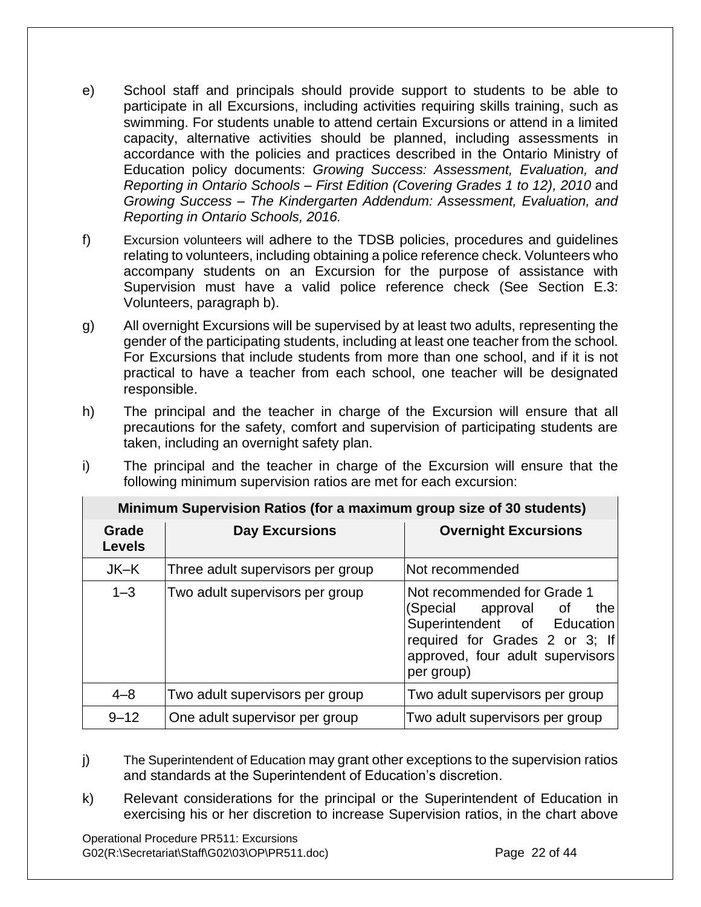- e) School staff and principals should provide support to students to be able to participate in all Excursions, including activities requiring skills training, such as swimming. For students unable to attend certain Excursions or attend in a limited capacity, alternative activities should be planned, including assessments in accordance with the policies and practices described in the Ontario Ministry of Education policy documents: *Growing Success: Assessment, Evaluation, and Reporting in Ontario Schools – First Edition (Covering Grades 1 to 12), 2010* and *Growing Success – The Kindergarten Addendum: Assessment, Evaluation, and Reporting in Ontario Schools, 2016.*
- f) Excursion volunteers will adhere to the TDSB policies, procedures and guidelines relating to volunteers, including obtaining a police reference check. Volunteers who accompany students on an Excursion for the purpose of assistance with Supervision must have a valid police reference check (See Section E.3: Volunteers, paragraph b).
- g) All overnight Excursions will be supervised by at least two adults, representing the gender of the participating students, including at least one teacher from the school. For Excursions that include students from more than one school, and if it is not practical to have a teacher from each school, one teacher will be designated responsible.
- h) The principal and the teacher in charge of the Excursion will ensure that all precautions for the safety, comfort and supervision of participating students are taken, including an overnight safety plan.
- i) The principal and the teacher in charge of the Excursion will ensure that the following minimum supervision ratios are met for each excursion:

| Minimum Supervision Ratios (for a maximum group size of 30 students) |                                   |                                                                                                                                                                               |  |
|----------------------------------------------------------------------|-----------------------------------|-------------------------------------------------------------------------------------------------------------------------------------------------------------------------------|--|
| Grade<br><b>Levels</b>                                               | <b>Day Excursions</b>             | <b>Overnight Excursions</b>                                                                                                                                                   |  |
| JK-K                                                                 | Three adult supervisors per group | Not recommended                                                                                                                                                               |  |
| $1 - 3$                                                              | Two adult supervisors per group   | Not recommended for Grade 1<br>(Special approval of<br>the<br>Superintendent of Education<br>required for Grades 2 or 3; If<br>approved, four adult supervisors<br>per group) |  |
| $4 - 8$                                                              | Two adult supervisors per group   | Two adult supervisors per group                                                                                                                                               |  |
| $9 - 12$                                                             | One adult supervisor per group    | Two adult supervisors per group                                                                                                                                               |  |

- j) The Superintendent of Education may grant other exceptions to the supervision ratios and standards at the Superintendent of Education's discretion.
- k) Relevant considerations for the principal or the Superintendent of Education in exercising his or her discretion to increase Supervision ratios, in the chart above

Operational Procedure PR511: Excursions G02(R:\Secretariat\Staff\G02\03\OP\PR511.doc) Page 22 of 44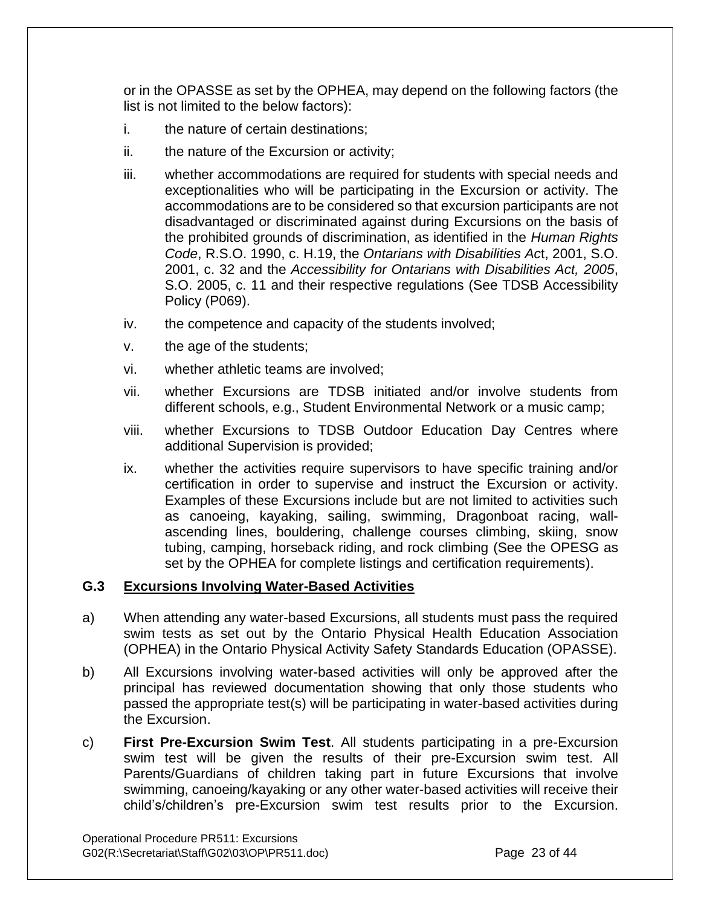or in the OPASSE as set by the OPHEA, may depend on the following factors (the list is not limited to the below factors):

- i. the nature of certain destinations:
- ii. the nature of the Excursion or activity;
- iii. whether accommodations are required for students with special needs and exceptionalities who will be participating in the Excursion or activity. The accommodations are to be considered so that excursion participants are not disadvantaged or discriminated against during Excursions on the basis of the prohibited grounds of discrimination, as identified in the *Human Rights Code*, R.S.O. 1990, c. H.19, the *Ontarians with Disabilities Ac*t, 2001, S.O. 2001, c. 32 and the *Accessibility for Ontarians with Disabilities Act, 2005*, S.O. 2005, c. 11 and their respective regulations (See TDSB Accessibility Policy (P069).
- iv. the competence and capacity of the students involved;
- v. the age of the students;
- vi. whether athletic teams are involved;
- vii. whether Excursions are TDSB initiated and/or involve students from different schools, e.g., Student Environmental Network or a music camp;
- viii. whether Excursions to TDSB Outdoor Education Day Centres where additional Supervision is provided;
- ix. whether the activities require supervisors to have specific training and/or certification in order to supervise and instruct the Excursion or activity. Examples of these Excursions include but are not limited to activities such as canoeing, kayaking, sailing, swimming, Dragonboat racing, wallascending lines, bouldering, challenge courses climbing, skiing, snow tubing, camping, horseback riding, and rock climbing (See the OPESG as set by the OPHEA for complete listings and certification requirements).

#### **G.3 Excursions Involving Water-Based Activities**

- a) When attending any water-based Excursions, all students must pass the required swim tests as set out by the Ontario Physical Health Education Association (OPHEA) in the Ontario Physical Activity Safety Standards Education (OPASSE).
- b) All Excursions involving water-based activities will only be approved after the principal has reviewed documentation showing that only those students who passed the appropriate test(s) will be participating in water-based activities during the Excursion.
- c) **First Pre-Excursion Swim Test**. All students participating in a pre-Excursion swim test will be given the results of their pre-Excursion swim test. All Parents/Guardians of children taking part in future Excursions that involve swimming, canoeing/kayaking or any other water-based activities will receive their child's/children's pre-Excursion swim test results prior to the Excursion.

Operational Procedure PR511: Excursions G02(R:\Secretariat\Staff\G02\03\OP\PR511.doc) Page 23 of 44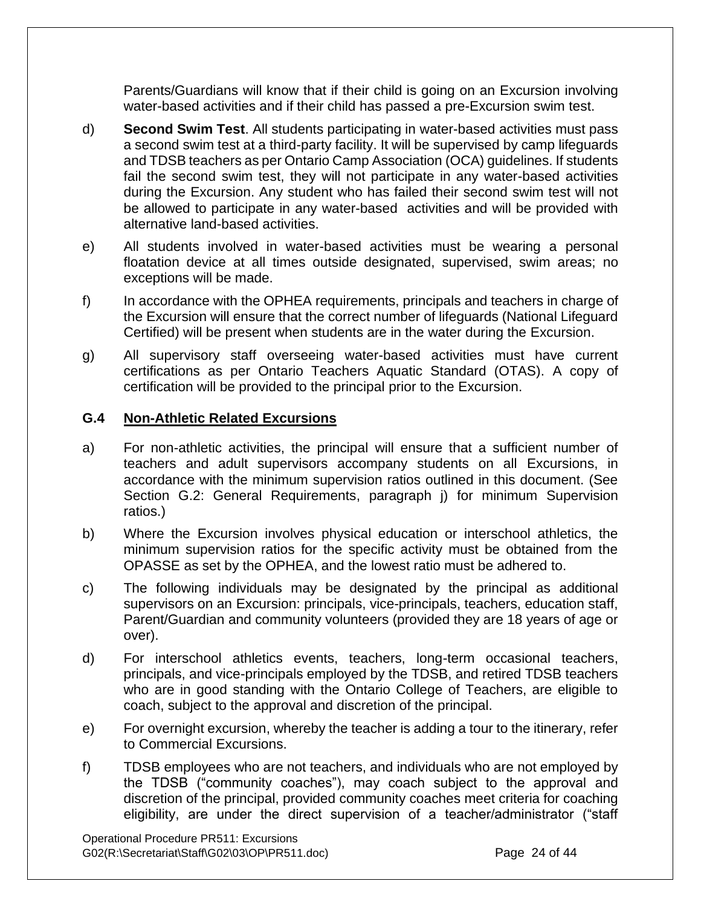Parents/Guardians will know that if their child is going on an Excursion involving water-based activities and if their child has passed a pre-Excursion swim test.

- d) **Second Swim Test**. All students participating in water-based activities must pass a second swim test at a third-party facility. It will be supervised by camp lifeguards and TDSB teachers as per Ontario Camp Association (OCA) guidelines. If students fail the second swim test, they will not participate in any water-based activities during the Excursion. Any student who has failed their second swim test will not be allowed to participate in any water-based activities and will be provided with alternative land-based activities.
- e) All students involved in water-based activities must be wearing a personal floatation device at all times outside designated, supervised, swim areas; no exceptions will be made.
- f) In accordance with the OPHEA requirements, principals and teachers in charge of the Excursion will ensure that the correct number of lifeguards (National Lifeguard Certified) will be present when students are in the water during the Excursion.
- g) All supervisory staff overseeing water-based activities must have current certifications as per Ontario Teachers Aquatic Standard (OTAS). A copy of certification will be provided to the principal prior to the Excursion.

## **G.4 Non-Athletic Related Excursions**

- a) For non-athletic activities, the principal will ensure that a sufficient number of teachers and adult supervisors accompany students on all Excursions, in accordance with the minimum supervision ratios outlined in this document. (See Section G.2: General Requirements, paragraph j) for minimum Supervision ratios.)
- b) Where the Excursion involves physical education or interschool athletics, the minimum supervision ratios for the specific activity must be obtained from the OPASSE as set by the OPHEA, and the lowest ratio must be adhered to.
- c) The following individuals may be designated by the principal as additional supervisors on an Excursion: principals, vice-principals, teachers, education staff, Parent/Guardian and community volunteers (provided they are 18 years of age or over).
- d) For interschool athletics events, teachers, long-term occasional teachers, principals, and vice-principals employed by the TDSB, and retired TDSB teachers who are in good standing with the Ontario College of Teachers, are eligible to coach, subject to the approval and discretion of the principal.
- e) For overnight excursion, whereby the teacher is adding a tour to the itinerary, refer to Commercial Excursions.
- f) TDSB employees who are not teachers, and individuals who are not employed by the TDSB ("community coaches"), may coach subject to the approval and discretion of the principal, provided community coaches meet criteria for coaching eligibility, are under the direct supervision of a teacher/administrator ("staff

Operational Procedure PR511: Excursions G02(R:\Secretariat\Staff\G02\03\OP\PR511.doc) Page 24 of 44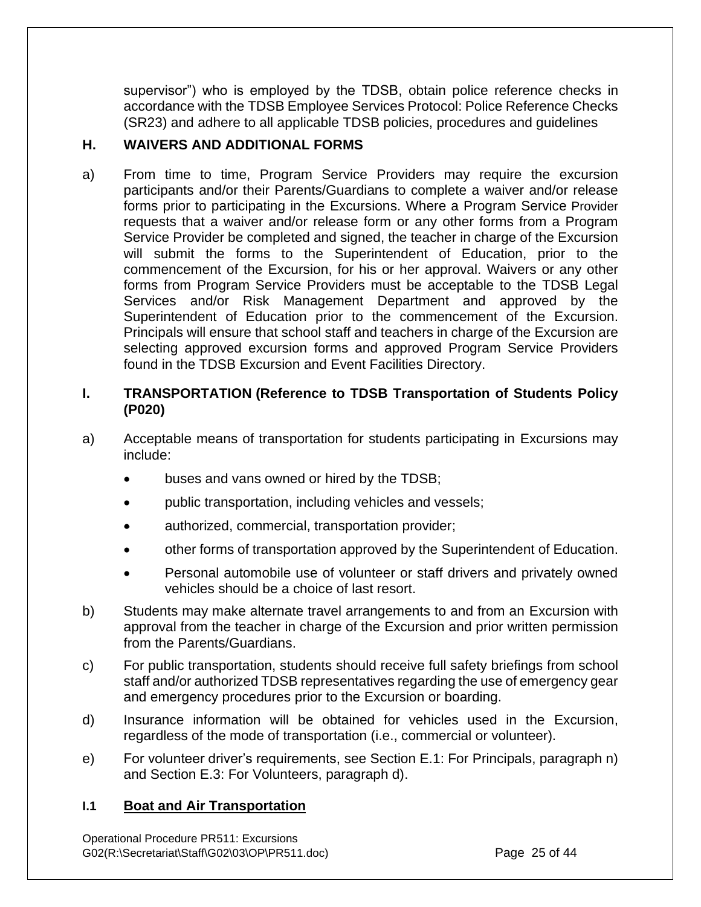supervisor") who is employed by the TDSB, obtain police reference checks in accordance with the TDSB Employee Services Protocol: Police Reference Checks (SR23) and adhere to all applicable TDSB policies, procedures and guidelines

## **H. WAIVERS AND ADDITIONAL FORMS**

a) From time to time, Program Service Providers may require the excursion participants and/or their Parents/Guardians to complete a waiver and/or release forms prior to participating in the Excursions. Where a Program Service Provider requests that a waiver and/or release form or any other forms from a Program Service Provider be completed and signed, the teacher in charge of the Excursion will submit the forms to the Superintendent of Education, prior to the commencement of the Excursion, for his or her approval. Waivers or any other forms from Program Service Providers must be acceptable to the TDSB Legal Services and/or Risk Management Department and approved by the Superintendent of Education prior to the commencement of the Excursion. Principals will ensure that school staff and teachers in charge of the Excursion are selecting approved excursion forms and approved Program Service Providers found in the TDSB Excursion and Event Facilities Directory.

## **I. TRANSPORTATION (Reference to TDSB Transportation of Students Policy (P020)**

- a) Acceptable means of transportation for students participating in Excursions may include:
	- buses and vans owned or hired by the TDSB;
	- public transportation, including vehicles and vessels;
	- authorized, commercial, transportation provider;
	- other forms of transportation approved by the Superintendent of Education.
	- Personal automobile use of volunteer or staff drivers and privately owned vehicles should be a choice of last resort.
- b) Students may make alternate travel arrangements to and from an Excursion with approval from the teacher in charge of the Excursion and prior written permission from the Parents/Guardians.
- c) For public transportation, students should receive full safety briefings from school staff and/or authorized TDSB representatives regarding the use of emergency gear and emergency procedures prior to the Excursion or boarding.
- d) Insurance information will be obtained for vehicles used in the Excursion, regardless of the mode of transportation (i.e., commercial or volunteer).
- e) For volunteer driver's requirements, see Section E.1: For Principals, paragraph n) and Section E.3: For Volunteers, paragraph d).

#### **I.1 Boat and Air Transportation**

Operational Procedure PR511: Excursions G02(R:\Secretariat\Staff\G02\03\OP\PR511.doc) Page 25 of 44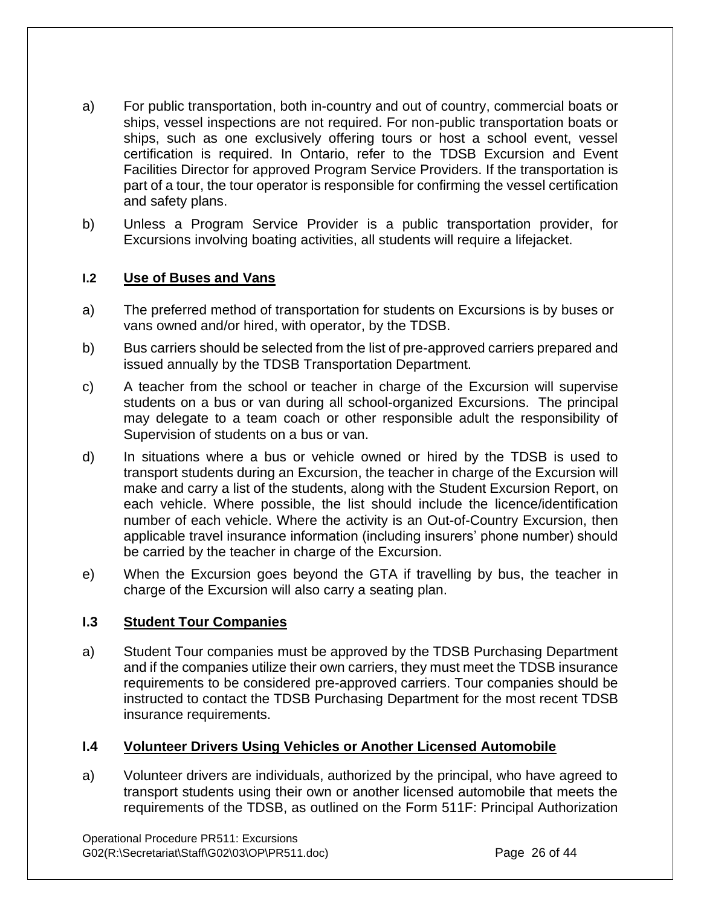- a) For public transportation, both in-country and out of country, commercial boats or ships, vessel inspections are not required. For non-public transportation boats or ships, such as one exclusively offering tours or host a school event, vessel certification is required. In Ontario, refer to the TDSB Excursion and Event Facilities Director for approved Program Service Providers. If the transportation is part of a tour, the tour operator is responsible for confirming the vessel certification and safety plans.
- b) Unless a Program Service Provider is a public transportation provider, for Excursions involving boating activities, all students will require a lifejacket.

## **I.2 Use of Buses and Vans**

- a) The preferred method of transportation for students on Excursions is by buses or vans owned and/or hired, with operator, by the TDSB.
- b) Bus carriers should be selected from the list of pre-approved carriers prepared and issued annually by the TDSB Transportation Department.
- c) A teacher from the school or teacher in charge of the Excursion will supervise students on a bus or van during all school-organized Excursions. The principal may delegate to a team coach or other responsible adult the responsibility of Supervision of students on a bus or van.
- d) In situations where a bus or vehicle owned or hired by the TDSB is used to transport students during an Excursion, the teacher in charge of the Excursion will make and carry a list of the students, along with the Student Excursion Report, on each vehicle. Where possible, the list should include the licence/identification number of each vehicle. Where the activity is an Out-of-Country Excursion, then applicable travel insurance information (including insurers' phone number) should be carried by the teacher in charge of the Excursion.
- e) When the Excursion goes beyond the GTA if travelling by bus, the teacher in charge of the Excursion will also carry a seating plan.

#### **I.3 Student Tour Companies**

a) Student Tour companies must be approved by the TDSB Purchasing Department and if the companies utilize their own carriers, they must meet the TDSB insurance requirements to be considered pre-approved carriers. Tour companies should be instructed to contact the TDSB Purchasing Department for the most recent TDSB insurance requirements.

#### **I.4 Volunteer Drivers Using Vehicles or Another Licensed Automobile**

a) Volunteer drivers are individuals, authorized by the principal, who have agreed to transport students using their own or another licensed automobile that meets the requirements of the TDSB, as outlined on the Form 511F: Principal Authorization

Operational Procedure PR511: Excursions G02(R:\Secretariat\Staff\G02\03\OP\PR511.doc) Page 26 of 44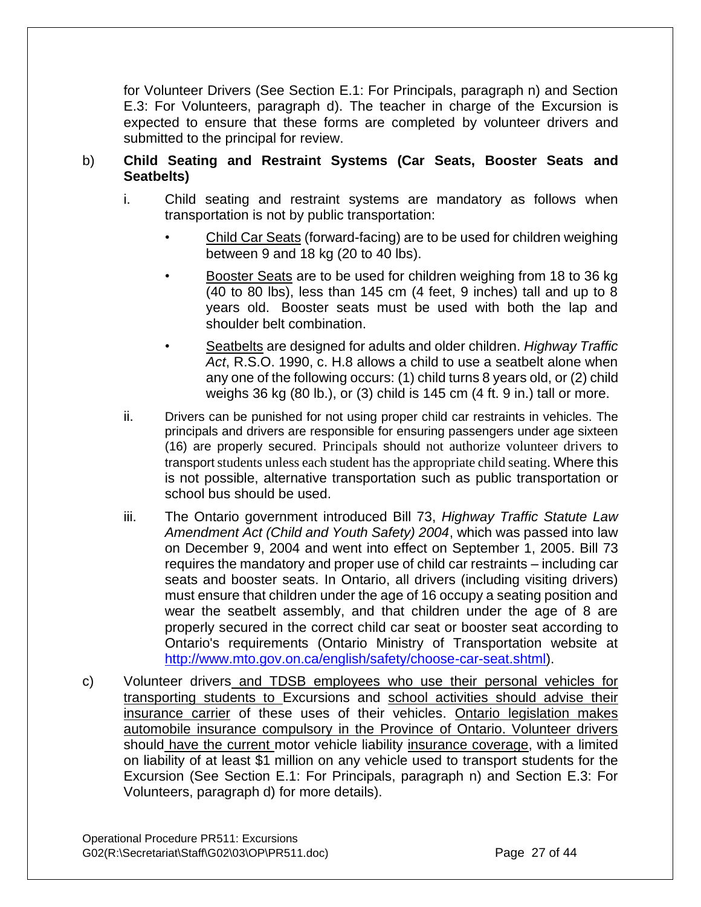for Volunteer Drivers (See Section E.1: For Principals, paragraph n) and Section E.3: For Volunteers, paragraph d). The teacher in charge of the Excursion is expected to ensure that these forms are completed by volunteer drivers and submitted to the principal for review.

## b) **Child Seating and Restraint Systems (Car Seats, Booster Seats and Seatbelts)**

- i. Child seating and restraint systems are mandatory as follows when transportation is not by public transportation:
	- Child Car Seats (forward-facing) are to be used for children weighing between 9 and 18 kg (20 to 40 lbs).
	- Booster Seats are to be used for children weighing from 18 to 36 kg (40 to 80 lbs), less than 145 cm (4 feet, 9 inches) tall and up to 8 years old. Booster seats must be used with both the lap and shoulder belt combination.
	- Seatbelts are designed for adults and older children. *Highway Traffic Act*, R.S.O. 1990, c. H.8 allows a child to use a seatbelt alone when any one of the following occurs: (1) child turns 8 years old, or (2) child weighs 36 kg (80 lb.), or (3) child is 145 cm (4 ft. 9 in.) tall or more.
- ii. Drivers can be punished for not using proper child car restraints in vehicles. The principals and drivers are responsible for ensuring passengers under age sixteen (16) are properly secured. Principals should not authorize volunteer drivers to transport students unless each student has the appropriate child seating. Where this is not possible, alternative transportation such as public transportation or school bus should be used.
- iii. The Ontario government introduced Bill 73, *Highway Traffic Statute Law Amendment Act (Child and Youth Safety) 2004*, which was passed into law on December 9, 2004 and went into effect on September 1, 2005. Bill 73 requires the mandatory and proper use of child car restraints – including car seats and booster seats. In Ontario, all drivers (including visiting drivers) must ensure that children under the age of 16 occupy a seating position and wear the seatbelt assembly, and that children under the age of 8 are properly secured in the correct child car seat or booster seat according to Ontario's requirements (Ontario Ministry of Transportation website at [http://www.mto.gov.on.ca/english/safety/choose-car-seat.shtml\)](http://www.mto.gov.on.ca/english/safety/choose-car-seat.shtml).
- c) Volunteer drivers and TDSB employees who use their personal vehicles for transporting students to Excursions and school activities should advise their insurance carrier of these uses of their vehicles. Ontario legislation makes automobile insurance compulsory in the Province of Ontario. Volunteer drivers should have the current motor vehicle liability insurance coverage, with a limited on liability of at least \$1 million on any vehicle used to transport students for the Excursion (See Section E.1: For Principals, paragraph n) and Section E.3: For Volunteers, paragraph d) for more details).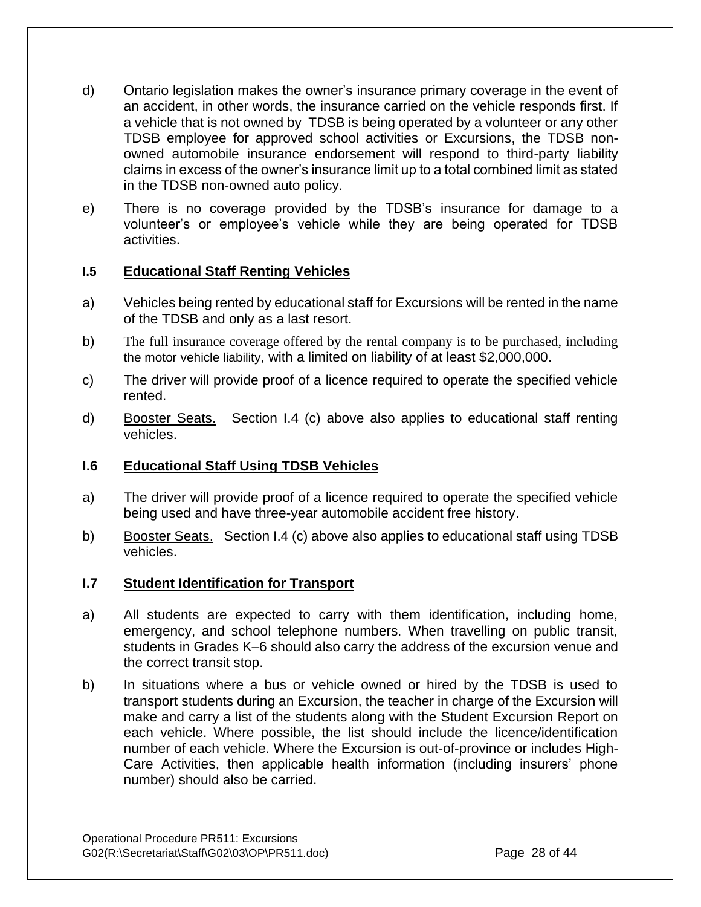- d) Ontario legislation makes the owner's insurance primary coverage in the event of an accident, in other words, the insurance carried on the vehicle responds first. If a vehicle that is not owned by TDSB is being operated by a volunteer or any other TDSB employee for approved school activities or Excursions, the TDSB nonowned automobile insurance endorsement will respond to third-party liability claims in excess of the owner's insurance limit up to a total combined limit as stated in the TDSB non-owned auto policy.
- e) There is no coverage provided by the TDSB's insurance for damage to a volunteer's or employee's vehicle while they are being operated for TDSB activities.

## **I.5 Educational Staff Renting Vehicles**

- a) Vehicles being rented by educational staff for Excursions will be rented in the name of the TDSB and only as a last resort.
- b) The full insurance coverage offered by the rental company is to be purchased, including the motor vehicle liability, with a limited on liability of at least \$2,000,000.
- c) The driver will provide proof of a licence required to operate the specified vehicle rented.
- d) Booster Seats. Section I.4 (c) above also applies to educational staff renting vehicles.

#### **I.6 Educational Staff Using TDSB Vehicles**

- a) The driver will provide proof of a licence required to operate the specified vehicle being used and have three-year automobile accident free history.
- b) Booster Seats. Section I.4 (c) above also applies to educational staff using TDSB vehicles.

#### **I.7 Student Identification for Transport**

- a) All students are expected to carry with them identification, including home, emergency, and school telephone numbers. When travelling on public transit, students in Grades K–6 should also carry the address of the excursion venue and the correct transit stop.
- b) In situations where a bus or vehicle owned or hired by the TDSB is used to transport students during an Excursion, the teacher in charge of the Excursion will make and carry a list of the students along with the Student Excursion Report on each vehicle. Where possible, the list should include the licence/identification number of each vehicle. Where the Excursion is out-of-province or includes High-Care Activities, then applicable health information (including insurers' phone number) should also be carried.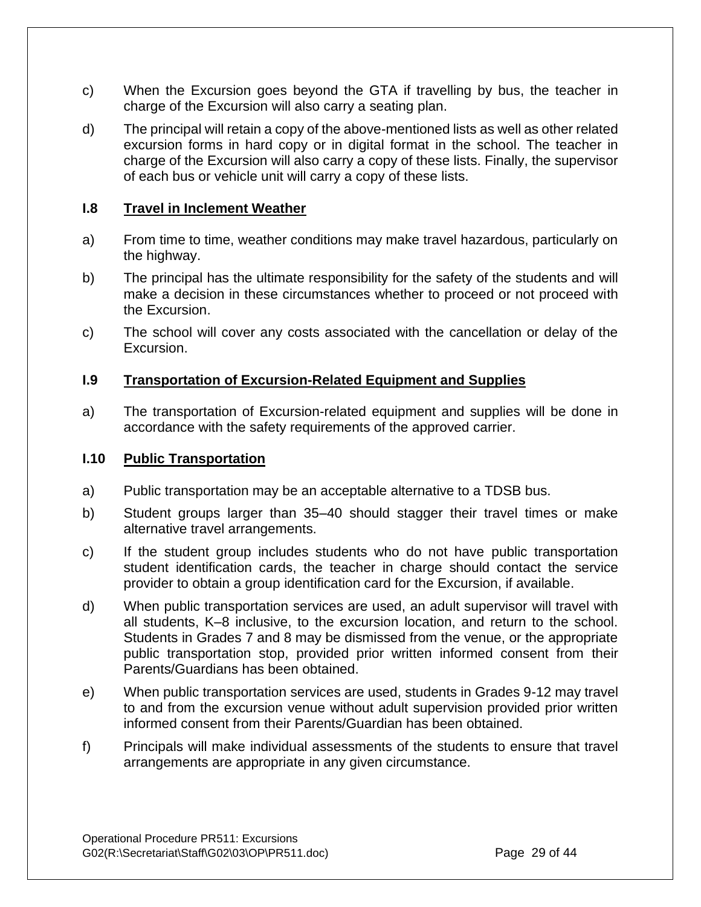- c) When the Excursion goes beyond the GTA if travelling by bus, the teacher in charge of the Excursion will also carry a seating plan.
- d) The principal will retain a copy of the above-mentioned lists as well as other related excursion forms in hard copy or in digital format in the school. The teacher in charge of the Excursion will also carry a copy of these lists. Finally, the supervisor of each bus or vehicle unit will carry a copy of these lists.

#### **I.8 Travel in Inclement Weather**

- a) From time to time, weather conditions may make travel hazardous, particularly on the highway.
- b) The principal has the ultimate responsibility for the safety of the students and will make a decision in these circumstances whether to proceed or not proceed with the Excursion.
- c) The school will cover any costs associated with the cancellation or delay of the Excursion.

#### **I.9 Transportation of Excursion-Related Equipment and Supplies**

a) The transportation of Excursion-related equipment and supplies will be done in accordance with the safety requirements of the approved carrier.

#### **I.10 Public Transportation**

- a) Public transportation may be an acceptable alternative to a TDSB bus.
- b) Student groups larger than 35–40 should stagger their travel times or make alternative travel arrangements.
- c) If the student group includes students who do not have public transportation student identification cards, the teacher in charge should contact the service provider to obtain a group identification card for the Excursion, if available.
- d) When public transportation services are used, an adult supervisor will travel with all students, K–8 inclusive, to the excursion location, and return to the school. Students in Grades 7 and 8 may be dismissed from the venue, or the appropriate public transportation stop, provided prior written informed consent from their Parents/Guardians has been obtained.
- e) When public transportation services are used, students in Grades 9-12 may travel to and from the excursion venue without adult supervision provided prior written informed consent from their Parents/Guardian has been obtained.
- f) Principals will make individual assessments of the students to ensure that travel arrangements are appropriate in any given circumstance.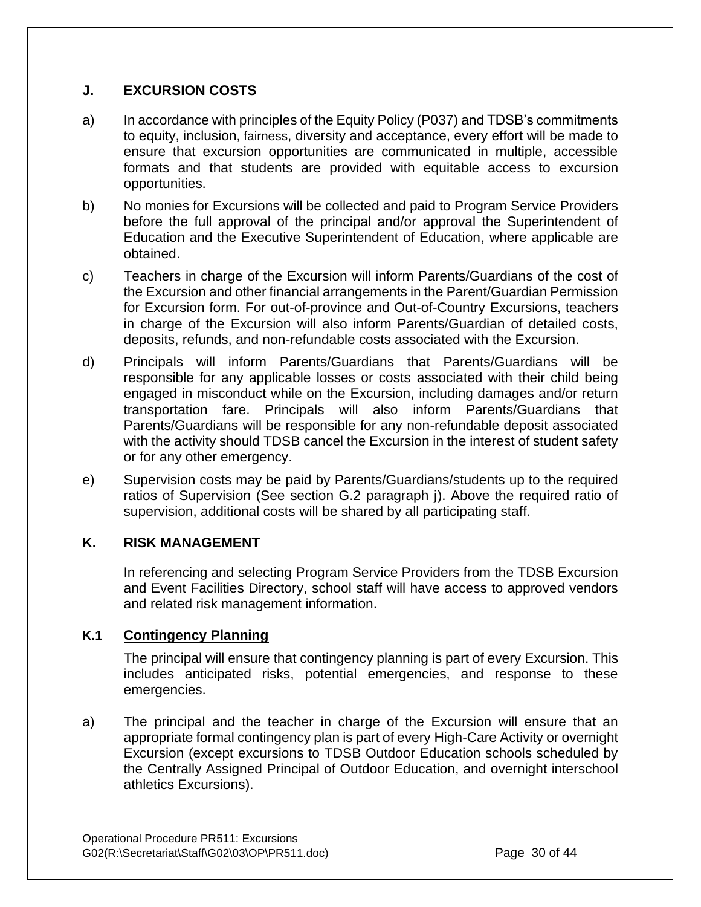## **J. EXCURSION COSTS**

- a) In accordance with principles of the Equity Policy (P037) and TDSB's commitments to equity, inclusion, fairness, diversity and acceptance, every effort will be made to ensure that excursion opportunities are communicated in multiple, accessible formats and that students are provided with equitable access to excursion opportunities.
- b) No monies for Excursions will be collected and paid to Program Service Providers before the full approval of the principal and/or approval the Superintendent of Education and the Executive Superintendent of Education, where applicable are obtained.
- c) Teachers in charge of the Excursion will inform Parents/Guardians of the cost of the Excursion and other financial arrangements in the Parent/Guardian Permission for Excursion form. For out-of-province and Out-of-Country Excursions, teachers in charge of the Excursion will also inform Parents/Guardian of detailed costs, deposits, refunds, and non-refundable costs associated with the Excursion.
- d) Principals will inform Parents/Guardians that Parents/Guardians will be responsible for any applicable losses or costs associated with their child being engaged in misconduct while on the Excursion, including damages and/or return transportation fare. Principals will also inform Parents/Guardians that Parents/Guardians will be responsible for any non-refundable deposit associated with the activity should TDSB cancel the Excursion in the interest of student safety or for any other emergency.
- e) Supervision costs may be paid by Parents/Guardians/students up to the required ratios of Supervision (See section G.2 paragraph j). Above the required ratio of supervision, additional costs will be shared by all participating staff.

## **K. RISK MANAGEMENT**

In referencing and selecting Program Service Providers from the TDSB Excursion and Event Facilities Directory, school staff will have access to approved vendors and related risk management information.

## **K.1 Contingency Planning**

The principal will ensure that contingency planning is part of every Excursion. This includes anticipated risks, potential emergencies, and response to these emergencies.

a) The principal and the teacher in charge of the Excursion will ensure that an appropriate formal contingency plan is part of every High-Care Activity or overnight Excursion (except excursions to TDSB Outdoor Education schools scheduled by the Centrally Assigned Principal of Outdoor Education, and overnight interschool athletics Excursions).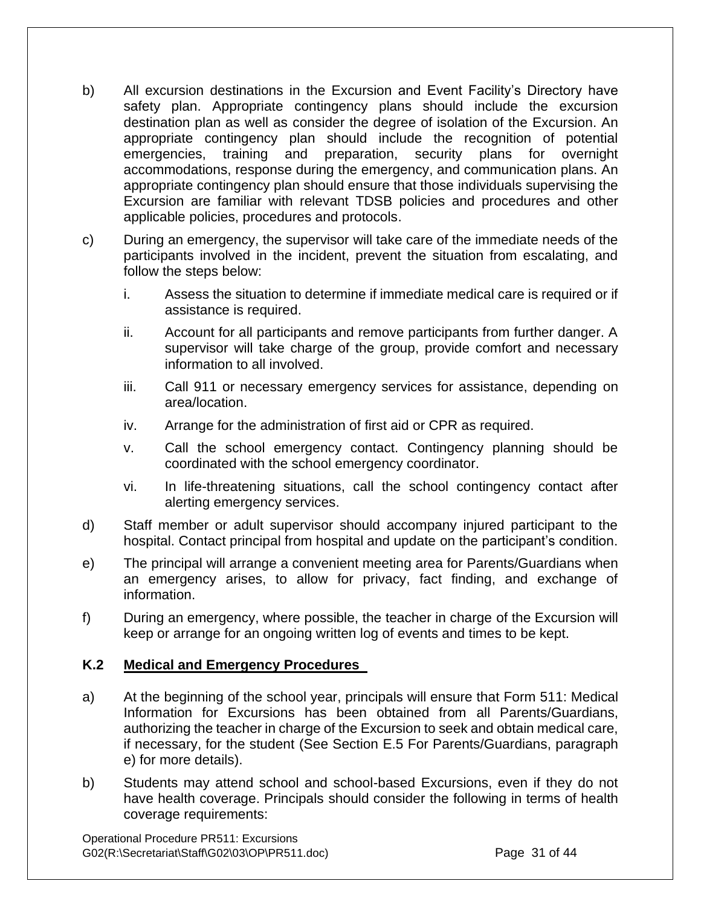- b) All excursion destinations in the Excursion and Event Facility's Directory have safety plan. Appropriate contingency plans should include the excursion destination plan as well as consider the degree of isolation of the Excursion. An appropriate contingency plan should include the recognition of potential emergencies, training and preparation, security plans for overnight accommodations, response during the emergency, and communication plans. An appropriate contingency plan should ensure that those individuals supervising the Excursion are familiar with relevant TDSB policies and procedures and other applicable policies, procedures and protocols.
- c) During an emergency, the supervisor will take care of the immediate needs of the participants involved in the incident, prevent the situation from escalating, and follow the steps below:
	- i. Assess the situation to determine if immediate medical care is required or if assistance is required.
	- ii. Account for all participants and remove participants from further danger. A supervisor will take charge of the group, provide comfort and necessary information to all involved.
	- iii. Call 911 or necessary emergency services for assistance, depending on area/location.
	- iv. Arrange for the administration of first aid or CPR as required.
	- v. Call the school emergency contact. Contingency planning should be coordinated with the school emergency coordinator.
	- vi. In life-threatening situations, call the school contingency contact after alerting emergency services.
- d) Staff member or adult supervisor should accompany injured participant to the hospital. Contact principal from hospital and update on the participant's condition.
- e) The principal will arrange a convenient meeting area for Parents/Guardians when an emergency arises, to allow for privacy, fact finding, and exchange of information.
- f) During an emergency, where possible, the teacher in charge of the Excursion will keep or arrange for an ongoing written log of events and times to be kept.

## **K.2 Medical and Emergency Procedures**

- a) At the beginning of the school year, principals will ensure that Form 511: Medical Information for Excursions has been obtained from all Parents/Guardians, authorizing the teacher in charge of the Excursion to seek and obtain medical care, if necessary, for the student (See Section E.5 For Parents/Guardians, paragraph e) for more details).
- b) Students may attend school and school-based Excursions, even if they do not have health coverage. Principals should consider the following in terms of health coverage requirements:

Operational Procedure PR511: Excursions G02(R:\Secretariat\Staff\G02\03\OP\PR511.doc) Page 31 of 44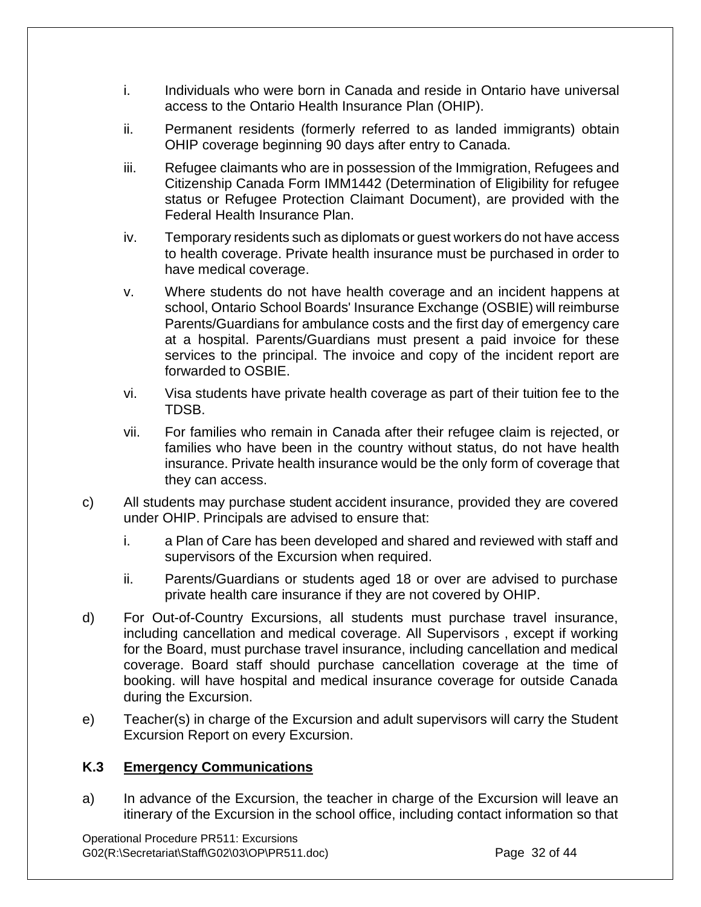- i. Individuals who were born in Canada and reside in Ontario have universal access to the Ontario Health Insurance Plan (OHIP).
- ii. Permanent residents (formerly referred to as landed immigrants) obtain OHIP coverage beginning 90 days after entry to Canada.
- iii. Refugee claimants who are in possession of the Immigration, Refugees and Citizenship Canada Form IMM1442 (Determination of Eligibility for refugee status or Refugee Protection Claimant Document), are provided with the Federal Health Insurance Plan.
- iv. Temporary residents such as diplomats or guest workers do not have access to health coverage. Private health insurance must be purchased in order to have medical coverage.
- v. Where students do not have health coverage and an incident happens at school, Ontario School Boards' Insurance Exchange (OSBIE) will reimburse Parents/Guardians for ambulance costs and the first day of emergency care at a hospital. Parents/Guardians must present a paid invoice for these services to the principal. The invoice and copy of the incident report are forwarded to OSBIE.
- vi. Visa students have private health coverage as part of their tuition fee to the TDSB.
- vii. For families who remain in Canada after their refugee claim is rejected, or families who have been in the country without status, do not have health insurance. Private health insurance would be the only form of coverage that they can access.
- c) All students may purchase student accident insurance, provided they are covered under OHIP. Principals are advised to ensure that:
	- i. a Plan of Care has been developed and shared and reviewed with staff and supervisors of the Excursion when required.
	- ii. Parents/Guardians or students aged 18 or over are advised to purchase private health care insurance if they are not covered by OHIP.
- d) For Out-of-Country Excursions, all students must purchase travel insurance, including cancellation and medical coverage. All Supervisors , except if working for the Board, must purchase travel insurance, including cancellation and medical coverage. Board staff should purchase cancellation coverage at the time of booking. will have hospital and medical insurance coverage for outside Canada during the Excursion.
- e) Teacher(s) in charge of the Excursion and adult supervisors will carry the Student Excursion Report on every Excursion.

#### **K.3 Emergency Communications**

a) In advance of the Excursion, the teacher in charge of the Excursion will leave an itinerary of the Excursion in the school office, including contact information so that

Operational Procedure PR511: Excursions G02(R:\Secretariat\Staff\G02\03\OP\PR511.doc) Page 32 of 44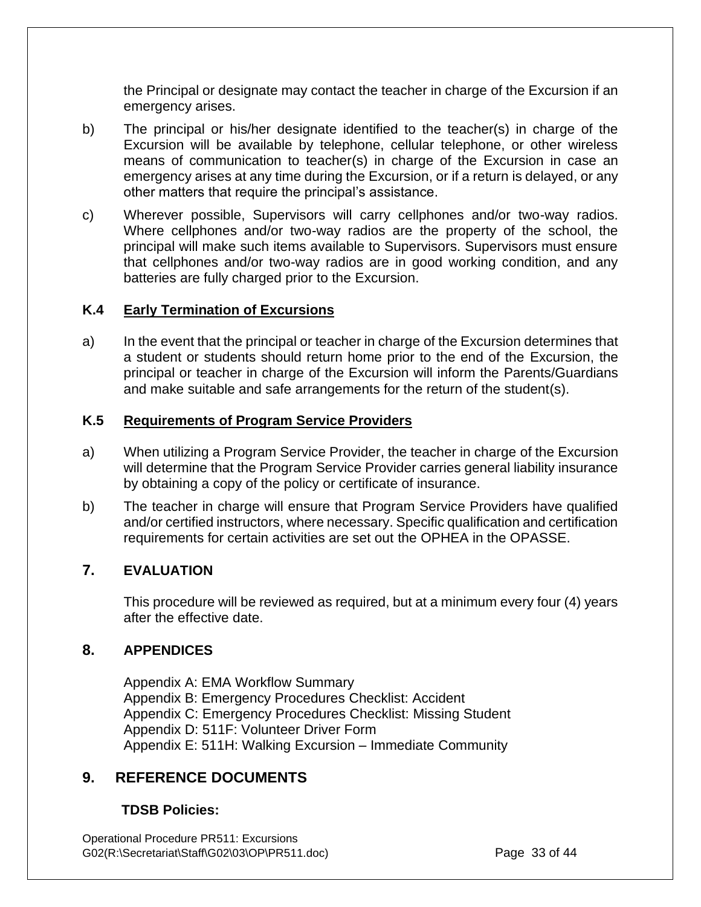the Principal or designate may contact the teacher in charge of the Excursion if an emergency arises.

- b) The principal or his/her designate identified to the teacher(s) in charge of the Excursion will be available by telephone, cellular telephone, or other wireless means of communication to teacher(s) in charge of the Excursion in case an emergency arises at any time during the Excursion, or if a return is delayed, or any other matters that require the principal's assistance.
- c) Wherever possible, Supervisors will carry cellphones and/or two-way radios. Where cellphones and/or two-way radios are the property of the school, the principal will make such items available to Supervisors. Supervisors must ensure that cellphones and/or two-way radios are in good working condition, and any batteries are fully charged prior to the Excursion.

#### **K.4 Early Termination of Excursions**

a) In the event that the principal or teacher in charge of the Excursion determines that a student or students should return home prior to the end of the Excursion, the principal or teacher in charge of the Excursion will inform the Parents/Guardians and make suitable and safe arrangements for the return of the student(s).

#### **K.5 Requirements of Program Service Providers**

- a) When utilizing a Program Service Provider, the teacher in charge of the Excursion will determine that the Program Service Provider carries general liability insurance by obtaining a copy of the policy or certificate of insurance.
- b) The teacher in charge will ensure that Program Service Providers have qualified and/or certified instructors, where necessary. Specific qualification and certification requirements for certain activities are set out the OPHEA in the OPASSE.

## **7. EVALUATION**

This procedure will be reviewed as required, but at a minimum every four (4) years after the effective date.

#### **8. APPENDICES**

Appendix A: EMA Workflow Summary Appendix B: Emergency Procedures Checklist: Accident Appendix C: Emergency Procedures Checklist: Missing Student Appendix D: 511F: Volunteer Driver Form Appendix E: 511H: Walking Excursion – Immediate Community

## **9. REFERENCE DOCUMENTS**

#### **TDSB Policies:**

Operational Procedure PR511: Excursions G02(R:\Secretariat\Staff\G02\03\OP\PR511.doc) Page 33 of 44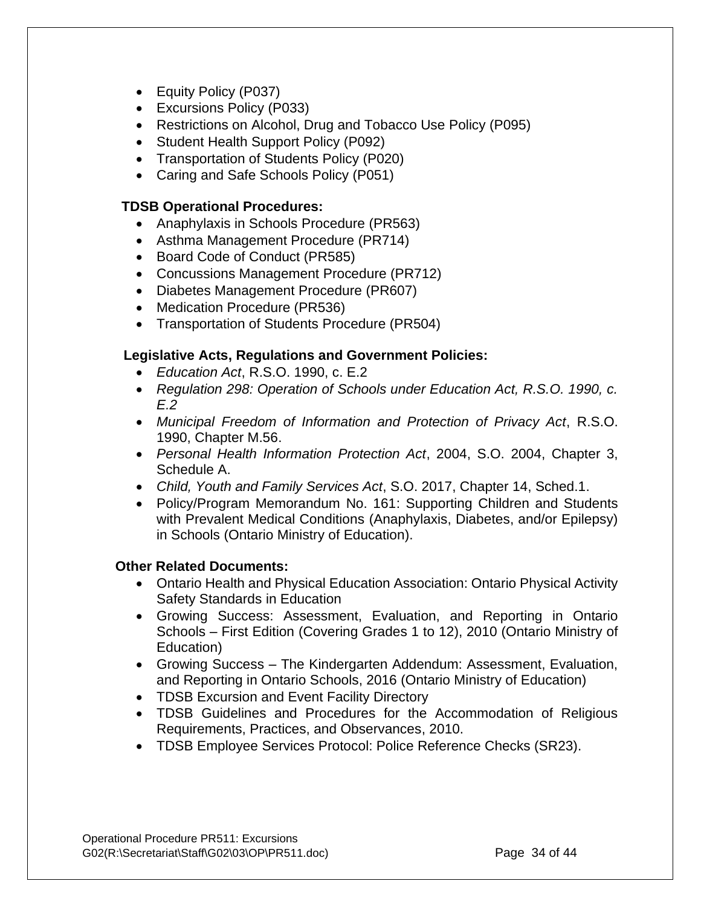- Equity Policy (P037)
- Excursions Policy (P033)
- Restrictions on Alcohol, Drug and Tobacco Use Policy (P095)
- Student Health Support Policy (P092)
- Transportation of Students Policy (P020)
- Caring and Safe Schools Policy (P051)

## **TDSB Operational Procedures:**

- Anaphylaxis in Schools Procedure (PR563)
- Asthma Management Procedure (PR714)
- Board Code of Conduct (PR585)
- Concussions Management Procedure (PR712)
- Diabetes Management Procedure (PR607)
- Medication Procedure (PR536)
- Transportation of Students Procedure (PR504)

## **Legislative Acts, Regulations and Government Policies:**

- *Education Act*, R.S.O. 1990, c. E.2
- *Regulation 298: Operation of Schools under Education Act, R.S.O. 1990, c. E.2*
- *Municipal Freedom of Information and Protection of Privacy Act*, R.S.O. 1990, Chapter M.56.
- *Personal Health Information Protection Act*, 2004, S.O. 2004, Chapter 3, Schedule A.
- *Child, Youth and Family Services Act*, S.O. 2017, Chapter 14, Sched.1.
- Policy/Program Memorandum No. 161: Supporting Children and Students with Prevalent Medical Conditions (Anaphylaxis, Diabetes, and/or Epilepsy) in Schools (Ontario Ministry of Education).

#### **Other Related Documents:**

- Ontario Health and Physical Education Association: Ontario Physical Activity Safety Standards in Education
- Growing Success: Assessment, Evaluation, and Reporting in Ontario Schools – First Edition (Covering Grades 1 to 12), 2010 (Ontario Ministry of Education)
- Growing Success The Kindergarten Addendum: Assessment, Evaluation, and Reporting in Ontario Schools, 2016 (Ontario Ministry of Education)
- TDSB Excursion and Event Facility Directory
- TDSB Guidelines and Procedures for the Accommodation of Religious Requirements, Practices, and Observances, 2010.
- TDSB Employee Services Protocol: Police Reference Checks (SR23).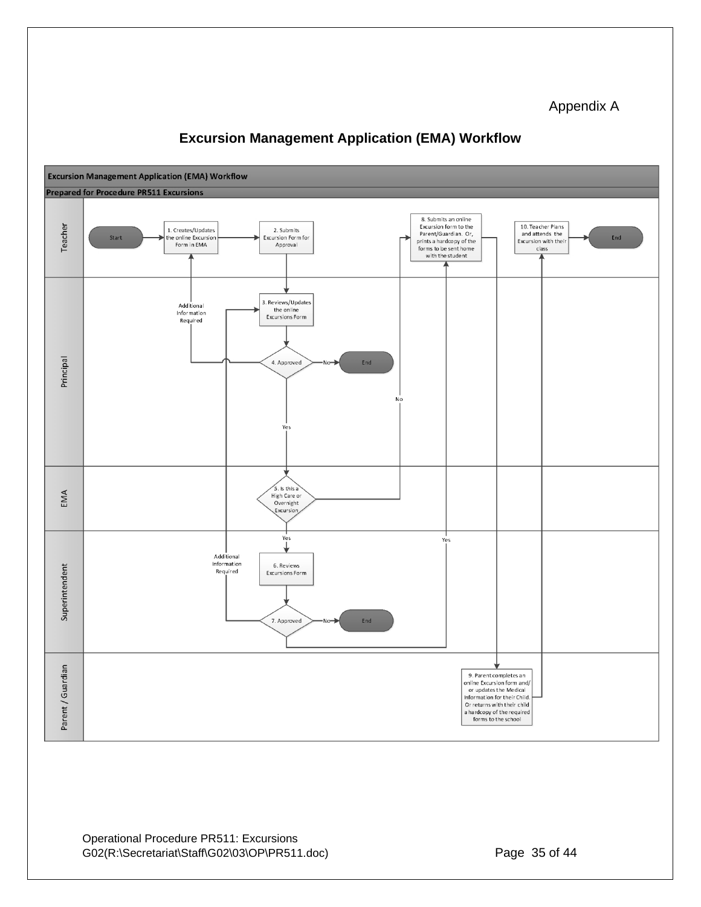#### Appendix A



## **Excursion Management Application (EMA) Workflow**

Operational Procedure PR511: Excursions G02(R:\Secretariat\Staff\G02\03\OP\PR511.doc) Page 35 of 44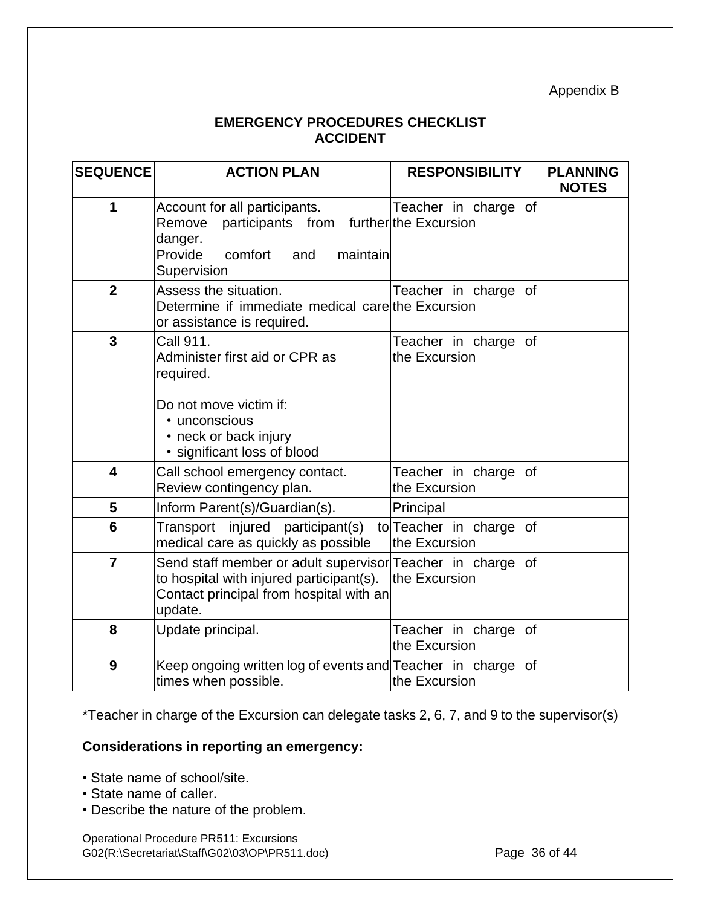Appendix B

## **EMERGENCY PROCEDURES CHECKLIST ACCIDENT**

| <b>SEQUENCE</b> | <b>ACTION PLAN</b>                                                                                                                                           | <b>RESPONSIBILITY</b>                    | <b>PLANNING</b><br><b>NOTES</b> |
|-----------------|--------------------------------------------------------------------------------------------------------------------------------------------------------------|------------------------------------------|---------------------------------|
| 1               | Account for all participants.<br>Remove<br>participants from further the Excursion<br>danger.<br>Provide<br>comfort<br>maintain<br>and<br>Supervision        | Teacher in charge of                     |                                 |
| $\overline{2}$  | Assess the situation.<br>Determine if immediate medical care the Excursion<br>or assistance is required.                                                     | Teacher in charge of                     |                                 |
| $\overline{3}$  | Call 911.<br>Administer first aid or CPR as<br>required.<br>Do not move victim if:<br>• unconscious<br>• neck or back injury<br>· significant loss of blood  | Teacher in charge of<br>the Excursion    |                                 |
| 4               | Call school emergency contact.<br>Review contingency plan.                                                                                                   | Teacher in charge of<br>the Excursion    |                                 |
| 5               | Inform Parent(s)/Guardian(s).                                                                                                                                | Principal                                |                                 |
| 6               | Transport injured participant(s)<br>medical care as quickly as possible                                                                                      | to Teacher in charge of<br>the Excursion |                                 |
| $\overline{7}$  | Send staff member or adult supervisor Teacher in charge of<br>to hospital with injured participant(s).<br>Contact principal from hospital with an<br>update. | the Excursion                            |                                 |
| 8               | Update principal.                                                                                                                                            | Teacher in charge of<br>the Excursion    |                                 |
| 9               | Keep ongoing written log of events and Teacher in charge<br>times when possible.                                                                             | <b>of</b><br>the Excursion               |                                 |

\*Teacher in charge of the Excursion can delegate tasks 2, 6, 7, and 9 to the supervisor(s)

## **Considerations in reporting an emergency:**

- State name of school/site.
- State name of caller.
- Describe the nature of the problem.

Operational Procedure PR511: Excursions G02(R:\Secretariat\Staff\G02\03\OP\PR511.doc) Page 36 of 44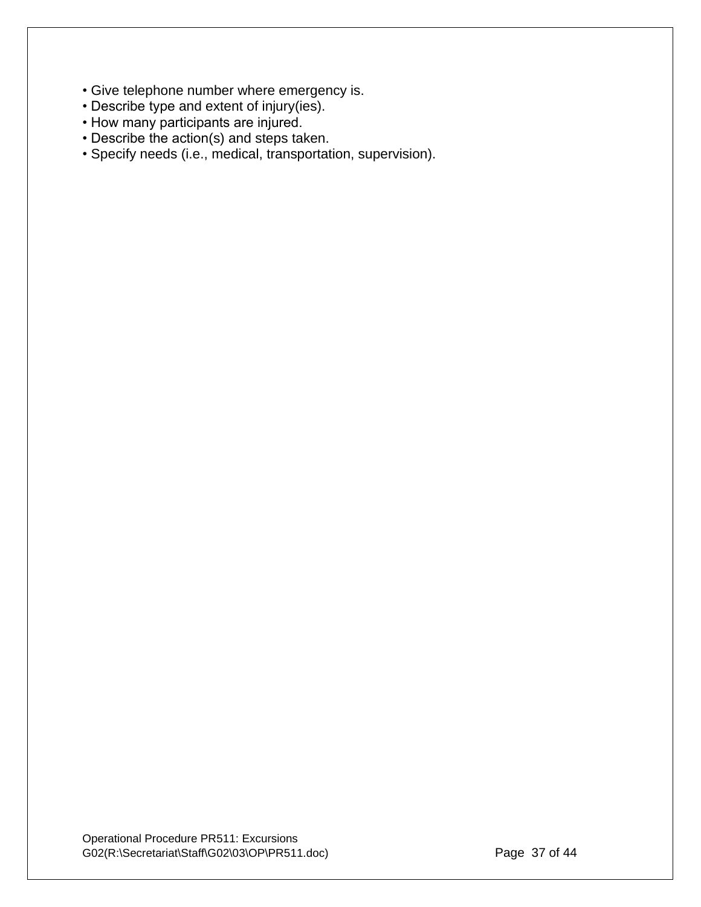- Give telephone number where emergency is.
- Describe type and extent of injury(ies).
- How many participants are injured.
- Describe the action(s) and steps taken.
- Specify needs (i.e., medical, transportation, supervision).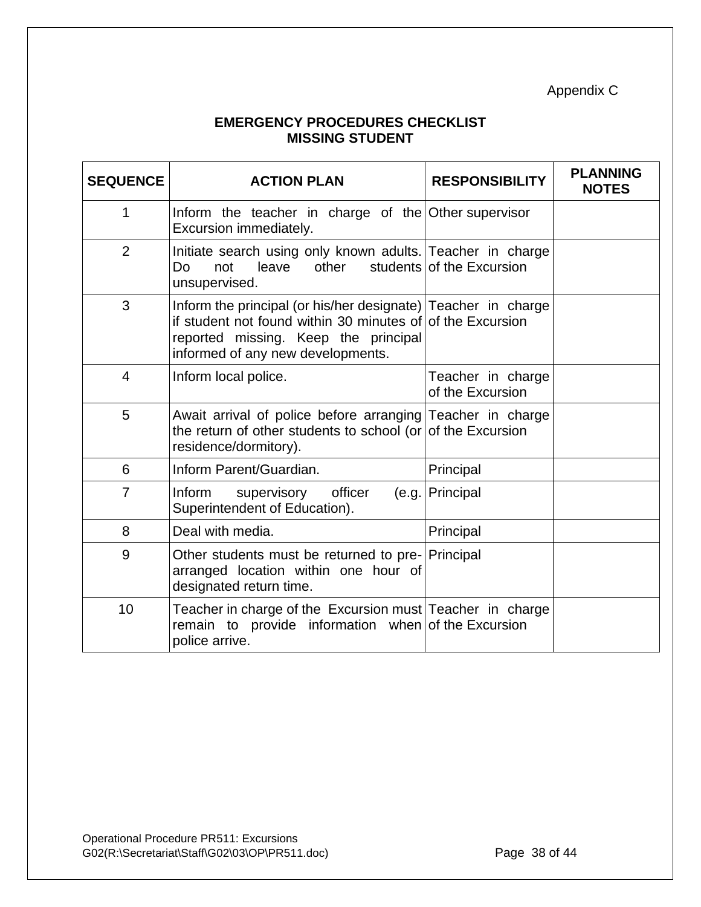Appendix C

## **EMERGENCY PROCEDURES CHECKLIST MISSING STUDENT**

| <b>SEQUENCE</b> | <b>ACTION PLAN</b>                                                                                                                                                                                       | <b>RESPONSIBILITY</b>                 | <b>PLANNING</b><br><b>NOTES</b> |
|-----------------|----------------------------------------------------------------------------------------------------------------------------------------------------------------------------------------------------------|---------------------------------------|---------------------------------|
| 1               | Inform the teacher in charge of the Other supervisor<br>Excursion immediately.                                                                                                                           |                                       |                                 |
| $\overline{2}$  | Initiate search using only known adults. Teacher in charge<br>leave<br>other<br>Do<br>not<br>unsupervised.                                                                                               | students of the Excursion             |                                 |
| 3               | Inform the principal (or his/her designate) Teacher in charge<br>if student not found within 30 minutes of of the Excursion<br>reported missing. Keep the principal<br>informed of any new developments. |                                       |                                 |
| $\overline{4}$  | Inform local police.                                                                                                                                                                                     | Teacher in charge<br>of the Excursion |                                 |
| 5               | Await arrival of police before arranging Teacher in charge<br>the return of other students to school (or of the Excursion<br>residence/dormitory).                                                       |                                       |                                 |
| 6               | Inform Parent/Guardian.                                                                                                                                                                                  | Principal                             |                                 |
| $\overline{7}$  | officer<br>Inform<br>supervisory<br>(e.g.<br>Superintendent of Education).                                                                                                                               | Principal                             |                                 |
| 8               | Deal with media.                                                                                                                                                                                         | Principal                             |                                 |
| 9               | Other students must be returned to pre- Principal<br>arranged location within one hour of<br>designated return time.                                                                                     |                                       |                                 |
| 10              | Teacher in charge of the Excursion must Teacher in charge<br>remain to provide information when of the Excursion<br>police arrive.                                                                       |                                       |                                 |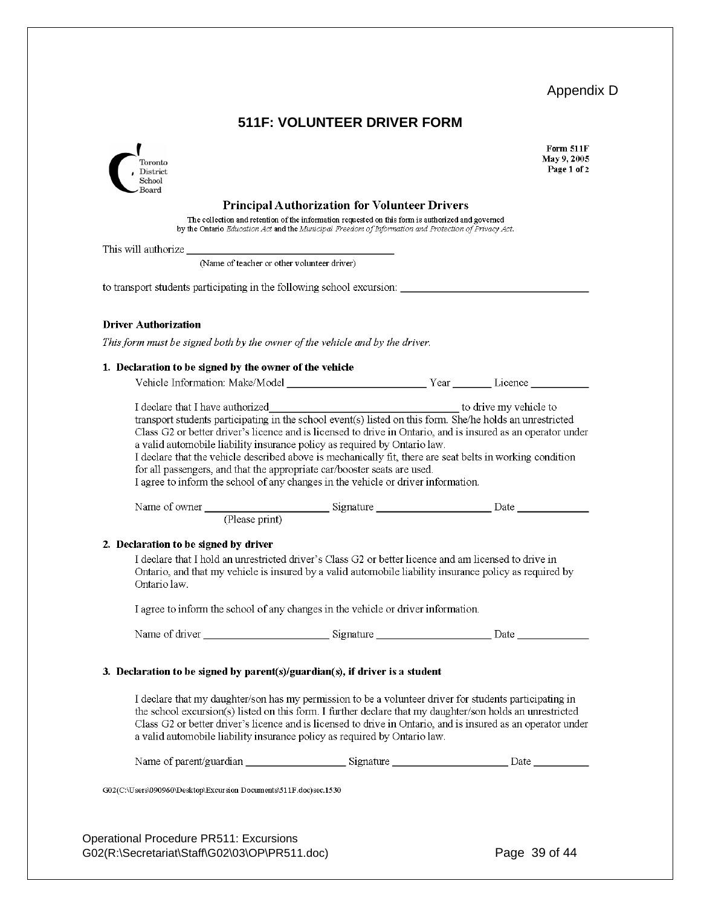# Appendix D

## **511F: VOLUNTEER DRIVER FORM**

| Toronto<br>District<br>School                                                                                                                                                                                                                                                                                                                                                                                                                                                                             |                                                                                                                                                                                                                                                                   | Form 511F<br>May 9, 2005<br>Page 1 of 2 |
|-----------------------------------------------------------------------------------------------------------------------------------------------------------------------------------------------------------------------------------------------------------------------------------------------------------------------------------------------------------------------------------------------------------------------------------------------------------------------------------------------------------|-------------------------------------------------------------------------------------------------------------------------------------------------------------------------------------------------------------------------------------------------------------------|-----------------------------------------|
| $_{\rm Board}$                                                                                                                                                                                                                                                                                                                                                                                                                                                                                            | <b>Principal Authorization for Volunteer Drivers</b><br>The collection and retention of the information requested on this form is authorized and governed<br>by the Ontario Education Act and the Municipal Freedom of Information and Protection of Privacy Act. |                                         |
|                                                                                                                                                                                                                                                                                                                                                                                                                                                                                                           |                                                                                                                                                                                                                                                                   |                                         |
| (Name of teacher or other volunteer driver)                                                                                                                                                                                                                                                                                                                                                                                                                                                               |                                                                                                                                                                                                                                                                   |                                         |
| to transport students participating in the following school excursion:                                                                                                                                                                                                                                                                                                                                                                                                                                    |                                                                                                                                                                                                                                                                   |                                         |
| <b>Driver Authorization</b>                                                                                                                                                                                                                                                                                                                                                                                                                                                                               |                                                                                                                                                                                                                                                                   |                                         |
| This form must be signed both by the owner of the vehicle and by the driver.                                                                                                                                                                                                                                                                                                                                                                                                                              |                                                                                                                                                                                                                                                                   |                                         |
| 1. Declaration to be signed by the owner of the vehicle                                                                                                                                                                                                                                                                                                                                                                                                                                                   |                                                                                                                                                                                                                                                                   |                                         |
|                                                                                                                                                                                                                                                                                                                                                                                                                                                                                                           |                                                                                                                                                                                                                                                                   |                                         |
| Class G2 or better driver's licence and is licensed to drive in Ontario, and is insured as an operator under<br>a valid automobile liability insurance policy as required by Ontario law.<br>I declare that the vehicle described above is mechanically fit, there are seat belts in working condition<br>for all passengers, and that the appropriate car/booster seats are used.<br>I agree to inform the school of any changes in the vehicle or driver information.                                   |                                                                                                                                                                                                                                                                   |                                         |
|                                                                                                                                                                                                                                                                                                                                                                                                                                                                                                           |                                                                                                                                                                                                                                                                   |                                         |
| 2. Declaration to be signed by driver<br>I declare that I hold an unrestricted driver's Class G2 or better licence and am licensed to drive in<br>Ontario, and that my vehicle is insured by a valid automobile liability insurance policy as required by<br>Ontario law.<br>I agree to inform the school of any changes in the vehicle or driver information.                                                                                                                                            |                                                                                                                                                                                                                                                                   |                                         |
|                                                                                                                                                                                                                                                                                                                                                                                                                                                                                                           |                                                                                                                                                                                                                                                                   |                                         |
| 3. Declaration to be signed by parent( $s$ )/guardian( $s$ ), if driver is a student<br>I declare that my daughter/son has my permission to be a volunteer driver for students participating in<br>the school excursion(s) listed on this form. I further declare that my daughter/son holds an unrestricted<br>Class G2 or better driver's licence and is licensed to drive in Ontario, and is insured as an operator under<br>a valid automobile liability insurance policy as required by Ontario law. |                                                                                                                                                                                                                                                                   |                                         |
|                                                                                                                                                                                                                                                                                                                                                                                                                                                                                                           |                                                                                                                                                                                                                                                                   |                                         |
| G02(C:\Users\090960\Desktop\Excursion Documents\511F.doc)sec.1530                                                                                                                                                                                                                                                                                                                                                                                                                                         |                                                                                                                                                                                                                                                                   |                                         |
|                                                                                                                                                                                                                                                                                                                                                                                                                                                                                                           |                                                                                                                                                                                                                                                                   |                                         |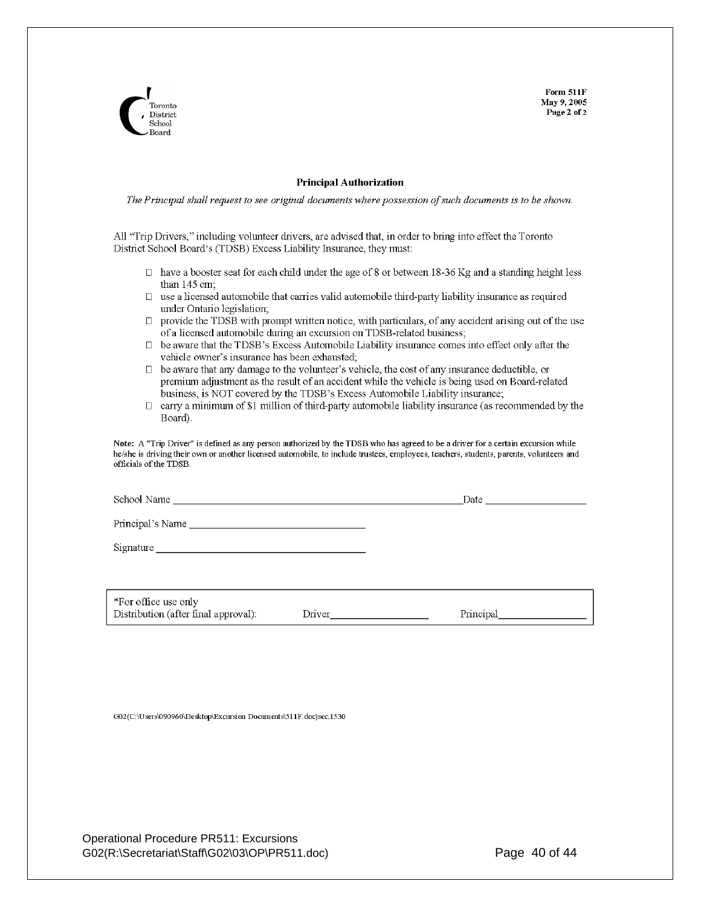**Form 511F** May 9, 2005 Page 2 of 2



#### **Principal Authorization**

The Principal shall request to see original documents where possession of such documents is to be shown.

All "Trip Drivers," including volunteer drivers, are advised that, in order to bring into effect the Toronto District School Board's (TDSB) Excess Liability Insurance, they must:

- $\Box$  have a booster seat for each child under the age of 8 or between 18-36 Kg and a standing height less than 145 cm;
- $\Box$ use a licensed automobile that carries valid automobile third-party liability insurance as required under Ontario legislation;
- $\Box$  provide the TDSB with prompt written notice, with particulars, of any accident arising out of the use of a licensed automobile during an excursion on TDSB-related business;
- $\Box$  be aware that the TDSB's Excess Automobile Liability insurance comes into effect only after the vehicle owner's insurance has been exhausted;
- $\Box$  be aware that any damage to the volunteer's vehicle, the cost of any insurance deductible, or premium adjustment as the result of an accident while the vehicle is being used on Board-related business, is NOT covered by the TDSB's Excess Automobile Liability insurance;
- $\Box$ carry a minimum of \$1 million of third-party automobile liability insurance (as recommended by the Board).

Note: A "Trip Driver" is defined as any person authorized by the TDSB who has agreed to be a driver for a certain excursion while he/she is driving their own or another licensed automobile, to include trustees, employees, teachers, students, parents, volunteers and officials of the TDSB.

Date and the set of the set of the set of the set of the set of the set of the set of the set of the set of the set of the set of the set of the set of the set of the set of the set of the set of the set of the set of the

School Name

\*For office use only Distribution (after final approval): Driver

Principal

G02(C:\Users\090960\Desktop\Excursion Documents\511F.doc)sec.1530

Operational Procedure PR511: Excursions G02(R:\Secretariat\Staff\G02\03\OP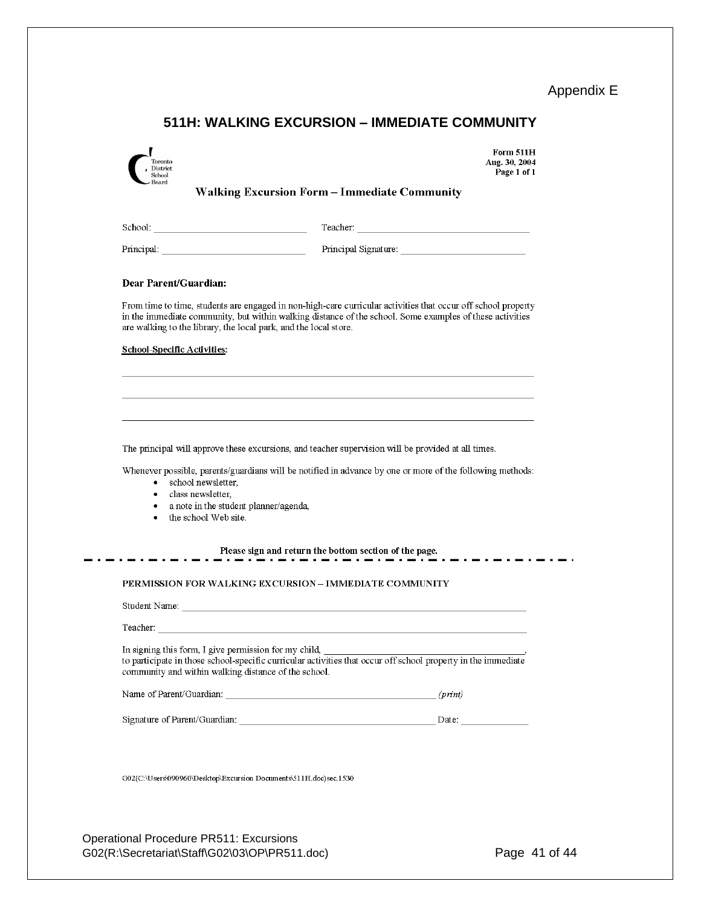Appendix E

# **511H: WALKING EXCURSION – IMMEDIATE COMMUNITY**

| Toronto<br>District<br>School                                                                                                                                                                                                  | Form 511H<br>Aug. 30, 2004<br>Page 1 of 1                                                                                                                                                                                 |
|--------------------------------------------------------------------------------------------------------------------------------------------------------------------------------------------------------------------------------|---------------------------------------------------------------------------------------------------------------------------------------------------------------------------------------------------------------------------|
| Board                                                                                                                                                                                                                          | <b>Walking Excursion Form - Immediate Community</b>                                                                                                                                                                       |
|                                                                                                                                                                                                                                |                                                                                                                                                                                                                           |
|                                                                                                                                                                                                                                |                                                                                                                                                                                                                           |
| Dear Parent/Guardian:                                                                                                                                                                                                          |                                                                                                                                                                                                                           |
| are walking to the library, the local park, and the local store.                                                                                                                                                               | From time to time, students are engaged in non-high-care curricular activities that occur off school property<br>in the immediate community, but within walking distance of the school. Some examples of these activities |
| <b>School-Specific Activities:</b>                                                                                                                                                                                             |                                                                                                                                                                                                                           |
|                                                                                                                                                                                                                                |                                                                                                                                                                                                                           |
|                                                                                                                                                                                                                                |                                                                                                                                                                                                                           |
|                                                                                                                                                                                                                                |                                                                                                                                                                                                                           |
|                                                                                                                                                                                                                                | The principal will approve these excursions, and teacher supervision will be provided at all times.                                                                                                                       |
| school newsletter.<br>$\bullet$<br>class newsletter,<br>a note in the student planner/agenda,                                                                                                                                  | Whenever possible, parents/guardians will be notified in advance by one or more of the following methods:                                                                                                                 |
| the school Web site.<br>٠                                                                                                                                                                                                      |                                                                                                                                                                                                                           |
|                                                                                                                                                                                                                                | Please sign and return the bottom section of the page.                                                                                                                                                                    |
|                                                                                                                                                                                                                                | --------------------                                                                                                                                                                                                      |
|                                                                                                                                                                                                                                | PERMISSION FOR WALKING EXCURSION - IMMEDIATE COMMUNITY                                                                                                                                                                    |
|                                                                                                                                                                                                                                |                                                                                                                                                                                                                           |
| Teacher: The contract of the contract of the contract of the contract of the contract of the contract of the contract of the contract of the contract of the contract of the contract of the contract of the contract of the c |                                                                                                                                                                                                                           |
| In signing this form, I give permission for my child, ___________________________                                                                                                                                              |                                                                                                                                                                                                                           |
| community and within walking distance of the school.                                                                                                                                                                           | to participate in those school-specific curricular activities that occur off school property in the immediate                                                                                                             |
|                                                                                                                                                                                                                                |                                                                                                                                                                                                                           |
|                                                                                                                                                                                                                                |                                                                                                                                                                                                                           |

Operational Procedure PR511: Excursions G02(R:\Secretariat\Staff\G02\03\OP\PR511.doc) Page 41 of 44

. .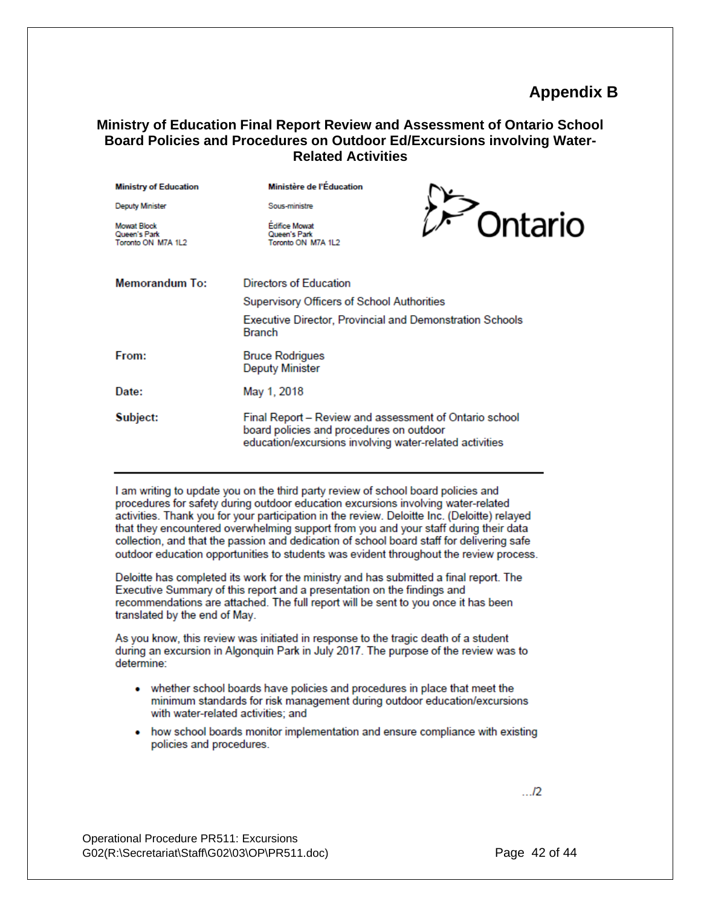## **Appendix B**

#### **Ministry of Education Final Report Review and Assessment of Ontario School Board Policies and Procedures on Outdoor Ed/Excursions involving Water-Related Activities**

| <b>Ministry of Education</b>                             | Ministère de l'Éducation                                                                                                                                      |         |
|----------------------------------------------------------|---------------------------------------------------------------------------------------------------------------------------------------------------------------|---------|
| <b>Deputy Minister</b>                                   | Sous-ministre                                                                                                                                                 |         |
| <b>Mowat Block</b><br>Queen's Park<br>Toronto ON M7A 1L2 | <b>Edifice Mowat</b><br>Queen's Park<br>Toronto ON M7A 1L2                                                                                                    | Ontario |
| <b>Memorandum To:</b>                                    | Directors of Education                                                                                                                                        |         |
|                                                          | Supervisory Officers of School Authorities                                                                                                                    |         |
|                                                          | Executive Director, Provincial and Demonstration Schools<br><b>Branch</b>                                                                                     |         |
| From:                                                    | <b>Bruce Rodrigues</b><br><b>Deputy Minister</b>                                                                                                              |         |
| Date:                                                    | May 1, 2018                                                                                                                                                   |         |
| Subject:                                                 | Final Report - Review and assessment of Ontario school<br>board policies and procedures on outdoor<br>education/excursions involving water-related activities |         |

I am writing to update you on the third party review of school board policies and procedures for safety during outdoor education excursions involving water-related activities. Thank you for your participation in the review. Deloitte Inc. (Deloitte) relayed that they encountered overwhelming support from you and your staff during their data collection, and that the passion and dedication of school board staff for delivering safe outdoor education opportunities to students was evident throughout the review process.

Deloitte has completed its work for the ministry and has submitted a final report. The Executive Summary of this report and a presentation on the findings and recommendations are attached. The full report will be sent to you once it has been translated by the end of May.

As you know, this review was initiated in response to the tragic death of a student during an excursion in Algonquin Park in July 2017. The purpose of the review was to determine:

- whether school boards have policies and procedures in place that meet the minimum standards for risk management during outdoor education/excursions with water-related activities; and
- how school boards monitor implementation and ensure compliance with existing policies and procedures.

 $...12$ 

Operational Procedure PR511: Excursions G02(R:\Secretariat\Staff\G02\03\OP\PR511.doc) Page 42 of 44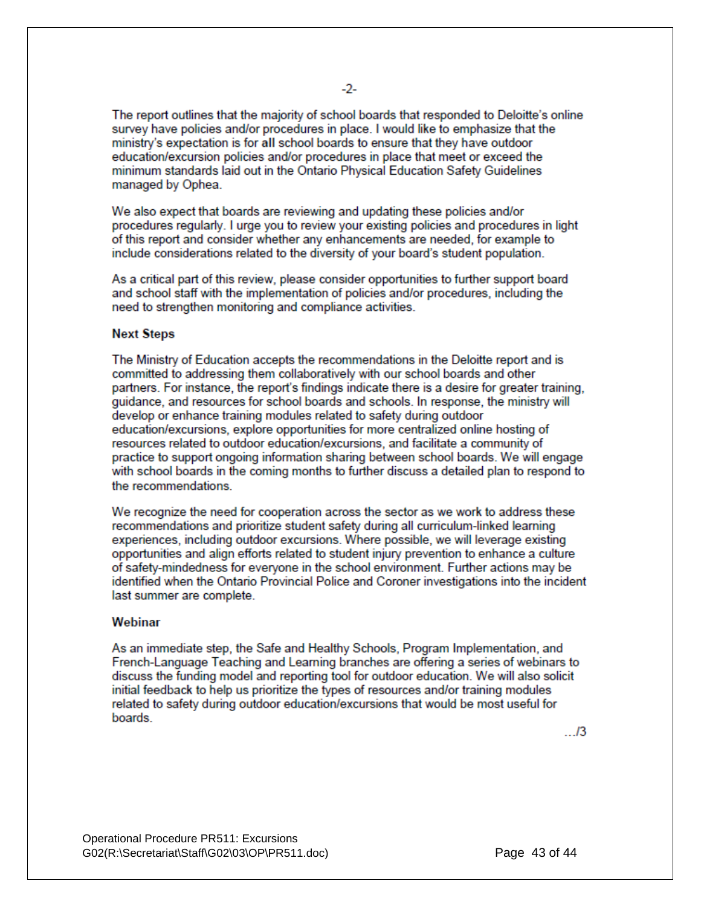The report outlines that the majority of school boards that responded to Deloitte's online survey have policies and/or procedures in place. I would like to emphasize that the ministry's expectation is for all school boards to ensure that they have outdoor education/excursion policies and/or procedures in place that meet or exceed the minimum standards laid out in the Ontario Physical Education Safety Guidelines managed by Ophea.

We also expect that boards are reviewing and updating these policies and/or procedures regularly. I urge you to review your existing policies and procedures in light of this report and consider whether any enhancements are needed, for example to include considerations related to the diversity of your board's student population.

As a critical part of this review, please consider opportunities to further support board and school staff with the implementation of policies and/or procedures, including the need to strengthen monitoring and compliance activities.

#### **Next Steps**

The Ministry of Education accepts the recommendations in the Deloitte report and is committed to addressing them collaboratively with our school boards and other partners. For instance, the report's findings indicate there is a desire for greater training, quidance, and resources for school boards and schools. In response, the ministry will develop or enhance training modules related to safety during outdoor education/excursions, explore opportunities for more centralized online hosting of resources related to outdoor education/excursions, and facilitate a community of practice to support ongoing information sharing between school boards. We will engage with school boards in the coming months to further discuss a detailed plan to respond to the recommendations

We recognize the need for cooperation across the sector as we work to address these recommendations and prioritize student safety during all curriculum-linked learning experiences, including outdoor excursions. Where possible, we will leverage existing opportunities and align efforts related to student injury prevention to enhance a culture of safety-mindedness for everyone in the school environment. Further actions may be identified when the Ontario Provincial Police and Coroner investigations into the incident last summer are complete.

#### Webinar

As an immediate step, the Safe and Healthy Schools, Program Implementation, and French-Language Teaching and Learning branches are offering a series of webinars to discuss the funding model and reporting tool for outdoor education. We will also solicit initial feedback to help us prioritize the types of resources and/or training modules related to safety during outdoor education/excursions that would be most useful for boards

 $\Box$ 3